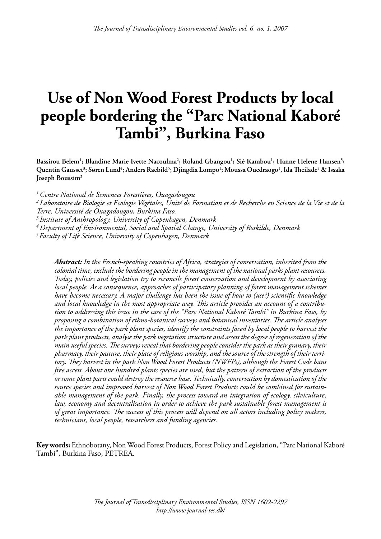# **Use of Non Wood Forest Products by local people bordering the "Parc National Kaboré Tambi", Burkina Faso**

Bassirou Belem<sup>1</sup>; Blandine Marie Ivette Nacoulma<sup>2</sup>; Roland Gbangou<sup>1</sup>; Sié Kambou<sup>1</sup>; Hanne Helene Hansen<sup>5</sup>;  $\bf{Quentin \; Gausset^3; Søren \; Lund^4; Anders \; Raebild^5; Djingdia \; Lompo^1; Moussa \; Ouedraogo^1, Ida \; Theilade^5 & Issaka$ **Joseph Boussim2**

*1 Centre National de Semences Forestières, Ouagadougou*

*2 Laboratoire de Biologie et Ecologie Végétales, Unité de Formation et de Recherche en Science de la Vie et de la Terre, Université de Ouagadougou, Burkina Faso.*

*3 Institute of Anthropology, University of Copenhagen, Denmark*

*4 Department of Environmental, Social and Spatial Change, University of Roskilde, Denmark*

*5 Faculty of Life Science, University of Copenhagen, Denmark*

*Abstract: In the French-speaking countries of Africa, strategies of conservation, inherited from the colonial time, exclude the bordering people in the management of the national parks plant resources. Today, policies and legislation try to reconcile forest conservation and development by associating local people. As a consequence, approaches of participatory planning of forest management schemes have become necessary. A major challenge has been the issue of how to (use?) scientific knowledge and local knowledge in the most appropriate way. This article provides an account of a contribution to addressing this issue in the case of the "Parc National Kaboré Tambi" in Burkina Faso, by proposing a combination of ethno-botanical surveys and botanical inventories. The article analyses the importance of the park plant species, identify the constraints faced by local people to harvest the park plant products, analyse the park vegetation structure and assess the degree of regeneration of the main useful species. The surveys reveal that bordering people consider the park as their granary, their pharmacy, their pasture, their place of religious worship, and the source of the strength of their territory. They harvest in the park Non Wood Forest Products (NWFPs), although the Forest Code bans free access. About one hundred plants species are used, but the pattern of extraction of the products or some plant parts could destroy the resource base. Technically, conservation by domestication of the source species and improved harvest of Non Wood Forest Products could be combined for sustainable management of the park. Finally, the process toward an integration of ecology, silviculture, law, economy and decentralisation in order to achieve the park sustainable forest management is of great importance. The success of this process will depend on all actors including policy makers, technicians, local people, researchers and funding agencies.*

**Key words:** Ethnobotany, Non Wood Forest Products, Forest Policy and Legislation, "Parc National Kaboré Tambi", Burkina Faso, PETREA.

> *The Journal of Transdisciplinary Environmental Studies, ISSN 1602-2297 http://www.journal-tes.dk/*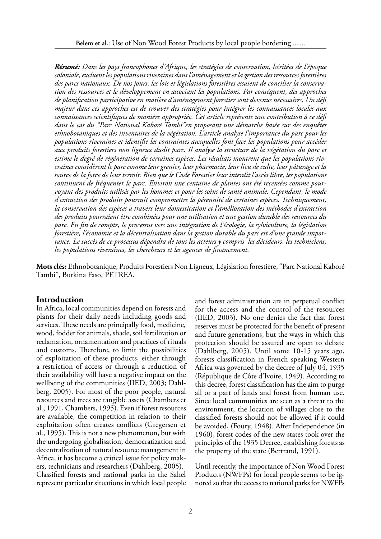*Résumé: Dans les pays francophones d'Afrique, les stratégies de conservation, héritées de l'époque coloniale, excluent les populations riveraines dans l'aménagement et la gestion des ressources forestières des parcs nationaux. De nos jours, les lois et législations forestières essaient de concilier la conservation des ressources et le développement en associant les populations. Par conséquent, des approches de planification participative en matière d'aménagement forestier sont devenus nécessaires. Un défi majeur dans ces approches est de trouver des stratégies pour intégrer les connaissances locales aux connaissances scientifiques de manière appropriée. Cet article représente une contribution à ce défi dans le cas du "Parc National Kaboré Tambi"en proposant une démarche basée sur des enquêtes ethnobotaniques et des inventaires de la végétation. L'article analyse l'importance du parc pour les populations riveraines et identifie les contraintes auxquelles font face les populations pour accéder aux produits forestiers non ligneux dudit parc. Il analyse la structure de la végétation du parc et estime le degré de régénération de certaines espèces. Les résultats montrent que les populations riveraines considèrent le parc comme leur grenier, leur pharmacie, leur lieu de culte, leur pâturage et la source de la force de leur terroir. Bien que le Code Forestier leur interdit l'accès libre, les populations continuent de fréquenter le parc. Environ une centaine de plantes ont été recensées comme pourvoyant des produits utilisés par les hommes et pour les soins de santé animale. Cependant, le mode d'extraction des produits pourrait compromettre la pérennité de certaines espèces. Techniquement, la conservation des espèces à travers leur domestication et l'amélioration des méthodes d'extraction des produits pourraient être combinées pour une utilisation et une gestion durable des ressources du parc. En fin de compte, le processus vers une intégration de l'écologie, la sylviculture, la législation forestière, l'économie et la décentralisation dans la gestion durable du parc est d'une grande importance. Le succès de ce processus dépendra de tous les acteurs y compris les décideurs, les techniciens, les populations riveraines, les chercheurs et les agences de financement.* 

**Mots clés:** Ethnobotanique, Produits Forestiers Non Ligneux, Législation forestière, "Parc National Kaboré Tambi", Burkina Faso, PETREA.

#### **Introduction**

In Africa, local communities depend on forests and plants for their daily needs including goods and services. These needs are principally food, medicine, wood, fodder for animals, shade, soil fertilization or reclamation, ornamentation and practices of rituals and customs. Therefore, to limit the possibilities of exploitation of these products, either through a restriction of access or through a reduction of their availability will have a negative impact on the wellbeing of the communities (IIED, 2003; Dahlberg, 2005). For most of the poor people, natural resources and trees are tangible assets (Chambers et al., 1991, Chambers, 1995). Even if forest resources are available, the competition in relation to their exploitation often creates conflicts (Gregersen et al., 1995). This is not a new phenomenon, but with the undergoing globalisation, democratization and decentralization of natural resource management in Africa, it has become a critical issue for policy makers, technicians and researchers (Dahlberg, 2005). Classified forests and national parks in the Sahel represent particular situations in which local people

and forest administration are in perpetual conflict for the access and the control of the resources (IIED, 2003). No one denies the fact that forest reserves must be protected for the benefit of present and future generations, but the ways in which this protection should be assured are open to debate (Dahlberg, 2005). Until some 10-15 years ago, forests classification in French speaking Western Africa was governed by the decree of July 04, 1935 (République de Côte d'Ivoire, 1949). According to this decree, forest classification has the aim to purge all or a part of lands and forest from human use. Since local communities are seen as a threat to the environment, the location of villages close to the classified forests should not be allowed if it could be avoided, (Foury, 1948). After Independence (in 1960), forest codes of the new states took over the principles of the 1935 Decree, establishing forests as the property of the state (Bertrand, 1991).

Until recently, the importance of Non Wood Forest Products (NWFPs) for local people seems to be ignored so that the access to national parks for NWFPs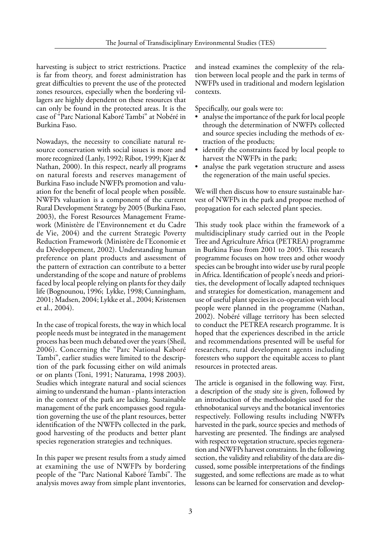harvesting is subject to strict restrictions. Practice is far from theory, and forest administration has great difficulties to prevent the use of the protected zones resources, especially when the bordering villagers are highly dependent on these resources that can only be found in the protected areas. It is the case of "Parc National Kaboré Tambi" at Nobéré in Burkina Faso.

Nowadays, the necessity to conciliate natural resource conservation with social issues is more and more recognized (Lanly, 1992; Ribot, 1999; Kjaer & Nathan, 2000). In this respect, nearly all programs on natural forests and reserves management of Burkina Faso include NWFPs promotion and valuation for the benefit of local people when possible. NWFPs valuation is a component of the current Rural Development Strategy by 2005 (Burkina Faso, 2003), the Forest Resources Management Framework (Ministère de l'Environnement et du Cadre de Vie, 2004) and the current Strategic Poverty Reduction Framework (Ministère de l'Economie et du Développement, 2002). Understanding human preference on plant products and assessment of the pattern of extraction can contribute to a better understanding of the scope and nature of problems faced by local people relying on plants for they daily life (Bognounou, 1996; Lykke, 1998; Cunningham, 2001; Madsen, 2004; Lykke et al., 2004; Kristensen et al., 2004).

In the case of tropical forests, the way in which local people needs must be integrated in the management process has been much debated over the years (Sheil, 2006). Concerning the "Parc National Kaboré Tambi", earlier studies were limited to the description of the park focussing either on wild animals or on plants (Toni, 1991; Naturama, 1998 2003). Studies which integrate natural and social sciences aiming to understand the human - plants interaction in the context of the park are lacking. Sustainable management of the park encompasses good regulation governing the use of the plant resources, better identification of the NWFPs collected in the park, good harvesting of the products and better plant species regeneration strategies and techniques.

In this paper we present results from a study aimed at examining the use of NWFPs by bordering people of the "Parc National Kaboré Tambi". The analysis moves away from simple plant inventories, and instead examines the complexity of the relation between local people and the park in terms of NWFPs used in traditional and modern legislation contexts.

Specifically, our goals were to:

- analyse the importance of the park for local people through the determination of NWFPs collected and source species including the methods of extraction of the products;
- identify the constraints faced by local people to harvest the NWFPs in the park;
- analyse the park vegetation structure and assess the regeneration of the main useful species.

We will then discuss how to ensure sustainable harvest of NWFPs in the park and propose method of propagation for each selected plant species.

This study took place within the framework of a multidisciplinary study carried out in the People Tree and Agriculture Africa (PETREA) programme in Burkina Faso from 2001 to 2005. This research programme focuses on how trees and other woody species can be brought into wider use by rural people in Africa. Identification of people's needs and priorities, the development of locally adapted techniques and strategies for domestication, management and use of useful plant species in co-operation with local people were planned in the programme (Nathan, 2002). Nobéré village territory has been selected to conduct the PETREA research programme. It is hoped that the experiences described in the article and recommendations presented will be useful for researchers, rural development agents including foresters who support the equitable access to plant resources in protected areas.

The article is organised in the following way. First, a description of the study site is given, followed by an introduction of the methodologies used for the ethnobotanical surveys and the botanical inventories respectively. Following results including NWFPs harvested in the park, source species and methods of harvesting are presented. The findings are analysed with respect to vegetation structure, species regeneration and NWFPs harvest constraints. In the following section, the validity and reliability of the data are discussed, some possible interpretations of the findings suggested, and some reflections are made as to what lessons can be learned for conservation and develop-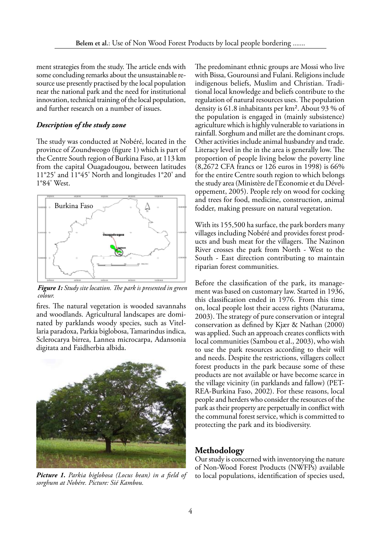ment strategies from the study. The article ends with some concluding remarks about the unsustainable resource use presently practised by the local population near the national park and the need for institutional innovation, technical training of the local population, and further research on a number of issues.

#### *Description of the study zone*

The study was conducted at Nobéré, located in the province of Zoundweogo (figure 1) which is part of the Centre South region of Burkina Faso, at 113 km from the capital Ouagadougou, between latitudes 11°25' and 11°45' North and longitudes 1°20' and 1°84' West.



*Figure 1: Study site location. The park is presented in green colour.*

fires. The natural vegetation is wooded savannahs and woodlands. Agricultural landscapes are dominated by parklands woody species, such as Vitellaria paradoxa, Parkia biglobosa, Tamarindus indica, Sclerocarya birrea, Lannea microcarpa, Adansonia digitata and Faidherbia albida.



*Picture 1. Parkia biglobosa (Locus bean) in a field of sorghum at Nobére. Picture: Sié Kambou.*

The predominant ethnic groups are Mossi who live with Bissa, Gourounsi and Fulani. Religions include indigenous beliefs, Muslim and Christian. Traditional local knowledge and beliefs contribute to the regulation of natural resources uses. The population density is 61.8 inhabitants per km². About 93 % of the population is engaged in (mainly subsistence) agriculture which is highly vulnerable to variations in rainfall. Sorghum and millet are the dominant crops. Other activities include animal husbandry and trade. Literacy level in the in the area is generally low. The proportion of people living below the poverty line (8,2672 CFA francs or 126 euros in 1998) is 66% for the entire Centre south region to which belongs the study area (Ministère de l'Economie et du Développement, 2005). People rely on wood for cocking and trees for food, medicine, construction, animal fodder, making pressure on natural vegetation.

With its 155,500 ha surface, the park borders many villages including Nobéré and provides forest products and bush meat for the villagers. The Nazinon River crosses the park from North - West to the South - East direction contributing to maintain riparian forest communities.

Before the classification of the park, its management was based on customary law. Started in 1936, this classification ended in 1976. From this time on, local people lost their access rights (Naturama, 2003). The strategy of pure conservation or integral conservation as defined by Kjær & Nathan (2000) was applied. Such an approach creates conflicts with local communities (Sambou et al., 2003), who wish to use the park resources according to their will and needs. Despite the restrictions, villagers collect forest products in the park because some of these products are not available or have become scarce in the village vicinity (in parklands and fallow) (PET-REA-Burkina Faso, 2002). For these reasons, local people and herders who consider the resources of the park as their property are perpetually in conflict with the communal forest service, which is committed to protecting the park and its biodiversity.

# **Methodology**

Our study is concerned with inventorying the nature of Non-Wood Forest Products (NWFPs) available to local populations, identification of species used,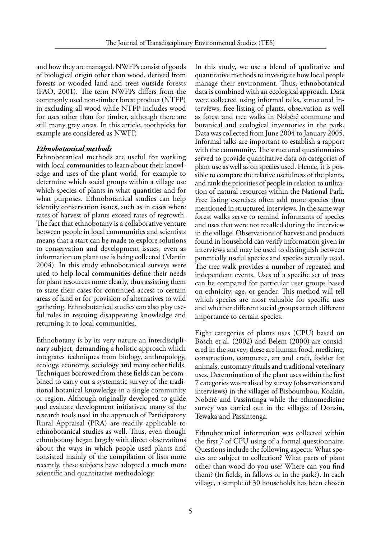and how they are managed. NWFPs consist of goods of biological origin other than wood, derived from forests or wooded land and trees outside forests (FAO, 2001). The term NWFPs differs from the commonly used non-timber forest product (NTFP) in excluding all wood while NTFP includes wood for uses other than for timber, although there are still many grey areas. In this article, toothpicks for example are considered as NWFP.

#### *Ethnobotanical methods*

Ethnobotanical methods are useful for working with local communities to learn about their knowledge and uses of the plant world, for example to determine which social groups within a village use which species of plants in what quantities and for what purposes. Ethnobotanical studies can help identify conservation issues, such as in cases where rates of harvest of plants exceed rates of regrowth. The fact that ethnobotany is a collaborative venture between people in local communities and scientists means that a start can be made to explore solutions to conservation and development issues, even as information on plant use is being collected (Martin 2004). In this study ethnobotanical surveys were used to help local communities define their needs for plant resources more clearly, thus assisting them to state their cases for continued access to certain areas of land or for provision of alternatives to wild gathering. Ethnobotanical studies can also play useful roles in rescuing disappearing knowledge and returning it to local communities.

Ethnobotany is by its very nature an interdisciplinary subject, demanding a holistic approach which integrates techniques from biology, anthropology, ecology, economy, sociology and many other fields. Techniques borrowed from these fields can be combined to carry out a systematic survey of the traditional botanical knowledge in a single community or region. Although originally developed to guide and evaluate development initiatives, many of the research tools used in the approach of Participatory Rural Appraisal (PRA) are readily applicable to ethnobotanical studies as well. Thus, even though ethnobotany began largely with direct observations about the ways in which people used plants and consisted mainly of the compilation of lists more recently, these subjects have adopted a much more scientific and quantitative methodology.

In this study, we use a blend of qualitative and quantitative methods to investigate how local people manage their environment. Thus, ethnobotanical data is combined with an ecological approach. Data were collected using informal talks, structured interviews, free listing of plants, observation as well as forest and tree walks in Nobéré commune and botanical and ecological inventories in the park. Data was collected from June 2004 to January 2005. Informal talks are important to establish a rapport with the community. The structured questionnaires served to provide quantitative data on categories of plant use as well as on species used. Hence, it is possible to compare the relative usefulness of the plants, and rank the priorities of people in relation to utilization of natural resources within the National Park. Free listing exercises often add more species than mentioned in structured interviews. In the same way forest walks serve to remind informants of species and uses that were not recalled during the interview in the village. Observations of harvest and products found in household can verify information given in interviews and may be used to distinguish between potentially useful species and species actually used. The tree walk provides a number of repeated and independent events. Uses of a specific set of trees can be compared for particular user groups based on ethnicity, age, or gender. This method will tell which species are most valuable for specific uses and whether different social groups attach different importance to certain species.

Eight categories of plants uses (CPU) based on Bosch et al. (2002) and Belem (2000) are considered in the survey; these are human food, medicine, construction, commerce, art and craft, fodder for animals, customary rituals and traditional veterinary uses. Determination of the plant uses within the first 7 categories was realised by survey (observations and interviews) in the villages of Bisboumbou, Koakin, Nobéré and Passintinga while the ethnomedicine survey was carried out in the villages of Donsin, Tewaka and Passintenga.

Ethnobotanical information was collected within the first 7 of CPU using of a formal questionnaire. Questions include the following aspects: What species are subject to collection? What parts of plant other than wood do you use? Where can you find them? (In fields, in fallows or in the park?). In each village, a sample of 30 households has been chosen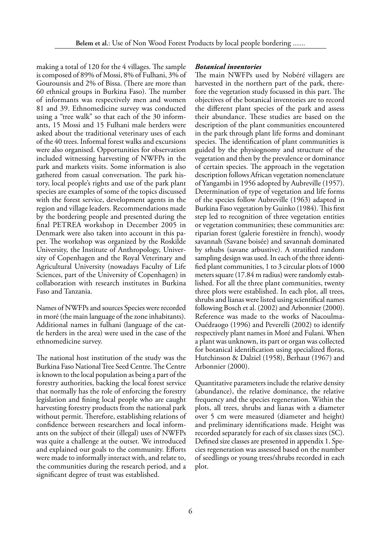making a total of 120 for the 4 villages. The sample is composed of 89% of Mossi, 8% of Fulhani, 3% of Gourounsis and 2% of Bissa. (There are more than 60 ethnical groups in Burkina Faso). The number of informants was respectively men and women 81 and 39. Ethnomedicine survey was conducted using a "tree walk" so that each of the 30 informants, 15 Mossi and 15 Fulhani male herders were asked about the traditional veterinary uses of each of the 40 trees. Informal forest walks and excursions were also organised. Opportunities for observation included witnessing harvesting of NWFPs in the park and markets visits. Some information is also gathered from casual conversation. The park history, local people's rights and use of the park plant species are examples of some of the topics discussed with the forest service, development agents in the region and village leaders. Recommendations made by the bordering people and presented during the final PETREA workshop in December 2005 in Denmark were also taken into account in this paper. The workshop was organized by the Roskilde University, the Institute of Anthropology, University of Copenhagen and the Royal Veterinary and Agricultural University (nowadays Faculty of Life Sciences, part of the University of Copenhagen) in collaboration with research institutes in Burkina Faso and Tanzania.

Names of NWFPs and sources Species were recorded in moré (the main language of the zone inhabitants). Additional names in fulhani (language of the cattle herders in the area) were used in the case of the ethnomedicine survey.

The national host institution of the study was the Burkina Faso National Tree Seed Centre. The Centre is known to the local population as being a part of the forestry authorities, backing the local forest service that normally has the role of enforcing the forestry legislation and fining local people who are caught harvesting forestry products from the national park without permit. Therefore, establishing relations of confidence between researchers and local informants on the subject of their (illegal) uses of NWFPs was quite a challenge at the outset. We introduced and explained our goals to the community. Efforts were made to informally interact with, and relate to, the communities during the research period, and a significant degree of trust was established.

#### *Botanical inventories*

The main NWFPs used by Nobéré villagers are harvested in the northern part of the park, therefore the vegetation study focussed in this part. The objectives of the botanical inventories are to record the different plant species of the park and assess their abundance. These studies are based on the description of the plant communities encountered in the park through plant life forms and dominant species. The identification of plant communities is guided by the physiognomy and structure of the vegetation and then by the prevalence or dominance of certain species. The approach in the vegetation description follows African vegetation nomenclature of Yangambi in 1956 adopted by Aubreville (1957). Determination of type of vegetation and life forms of the species follow Aubreville (1963) adapted in Burkina Faso vegetation by Guinko (1984). This first step led to recognition of three vegetation entities or vegetation communities; these communities are: riparian forest (galerie forestière in french), woody savannah (Savane boisée) and savannah dominated by srhubs (savane arbustive). A stratified random sampling design was used. In each of the three identified plant communities, 1 to 3 circular plots of 1000 meters square (17.84 m radius) were randomly established. For all the three plant communities, twenty three plots were established. In each plot, all trees, shrubs and lianas were listed using scientifical names following Bosch et al. (2002) and Arbonnier (2000). Reference was made to the works of Nacoulma-Ouédraogo (1996) and Peverelli (2002) to identify respectively plant names in Moré and Fulani. When a plant was unknown, its part or organ was collected for botanical identification using specialized floras, Hutchinson & Dalziel (1958), Berhaut (1967) and Arbonnier (2000).

Quantitative parameters include the relative density (abundance), the relative dominance, the relative frequency and the species regeneration. Within the plots, all trees, shrubs and lianas with a diameter over 5 cm were measured (diameter and height) and preliminary identifications made. Height was recorded separately for each of six classes sizes (SC). Defined size classes are presented in appendix 1. Species regeneration was assessed based on the number of seedlings or young trees/shrubs recorded in each plot.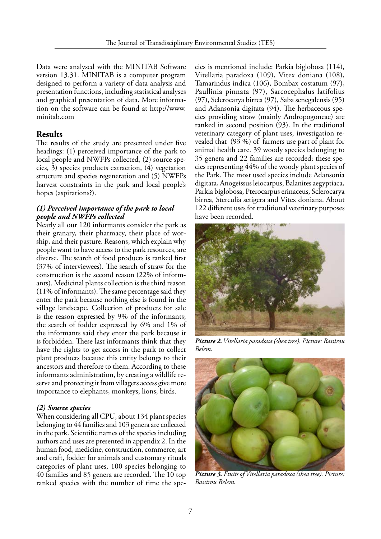Data were analysed with the MINITAB Software version 13.31. MINITAB is a computer program designed to perform a variety of data analysis and presentation functions, including statistical analyses and graphical presentation of data. More information on the software can be found at http://www. minitab.com

# **Results**

The results of the study are presented under five headings: (1) perceived importance of the park to local people and NWFPs collected, (2) source species, 3) species products extraction, (4) vegetation structure and species regeneration and (5) NWFPs harvest constraints in the park and local people's hopes (aspirations?).

### *(1) Perceived importance of the park to local people and NWFPs collected*

Nearly all our 120 informants consider the park as their granary, their pharmacy, their place of worship, and their pasture. Reasons, which explain why people want to have access to the park resources, are diverse. The search of food products is ranked first (37% of interviewees). The search of straw for the construction is the second reason (22% of informants). Medicinal plants collection is the third reason (11% of informants). The same percentage said they enter the park because nothing else is found in the village landscape. Collection of products for sale is the reason expressed by 9% of the informants; the search of fodder expressed by 6% and 1% of the informants said they enter the park because it is forbidden. These last informants think that they have the rights to get access in the park to collect plant products because this entity belongs to their ancestors and therefore to them. According to these informants administration, by creating a wildlife reserve and protecting it from villagers access give more importance to elephants, monkeys, lions, birds.

### *(2) Source species*

When considering all CPU, about 134 plant species belonging to 44 families and 103 genera are collected in the park. Scientific names of the species including authors and uses are presented in appendix 2. In the human food, medicine, construction, commerce, art and craft, fodder for animals and customary rituals categories of plant uses, 100 species belonging to 40 families and 85 genera are recorded. The 10 top ranked species with the number of time the spe-

cies is mentioned include: Parkia biglobosa (114), Vitellaria paradoxa (109), Vitex doniana (108), Tamarindus indica (106), Bombax costatum (97), Paullinia pinnata (97), Sarcocephalus latifolius (97), Sclerocarya birrea (97), Saba senegalensis (95) and Adansonia digitata (94). The herbaceous species providing straw (mainly Andropogoneae) are ranked in second position (93). In the traditional veterinary category of plant uses, investigation revealed that (93 %) of farmers use part of plant for animal health care. 39 woody species belonging to 35 genera and 22 families are recorded; these species representing 44% of the woody plant species of the Park. The most used species include Adansonia digitata, Anogeissus leiocarpus, Balanites aegyptiaca, Parkia biglobosa, Pterocarpus erinaceus, Sclerocarya birrea, Sterculia setigera and Vitex doniana. About 122 different uses for traditional veterinary purposes have been recorded.



*Picture 2. Vitellaria paradoxa (shea tree). Picture: Bassirou Belem.*



*Picture 3. Ftuits of Vitellaria paradoxa (shea tree). Picture: Bassirou Belem.*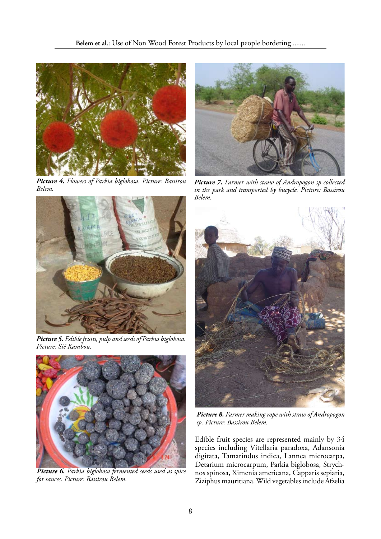

*Picture 4. Flowers of Parkia biglobosa. Picture: Bassirou Belem.* 



*Picture 5. Edible fruits, pulp and seeds of Parkia biglobosa. Picture: Sié Kambou.*



*Picture 6. Parkia biglobosa fermented seeds used as spice for sauces. Picture: Bassirou Belem.*



*Picture 7. Farmer with straw of Andropogon sp collected in the park and transported by bucycle. Picture: Bassirou Belem.* 



*Picture 8. Farmer making rope with straw of Andropogon sp. Picture: Bassirou Belem.*

Edible fruit species are represented mainly by 34 species including Vitellaria paradoxa, Adansonia digitata, Tamarindus indica, Lannea microcarpa, Detarium microcarpum, Parkia biglobosa, Strychnos spinosa, Ximenia americana, Capparis sepiaria, Ziziphus mauritiana. Wild vegetables include Afzelia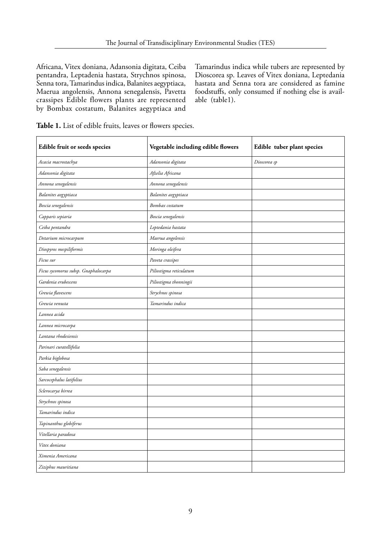Africana, Vitex doniana, Adansonia digitata, Ceiba pentandra, Leptadenia hastata, Strychnos spinosa, Senna tora, Tamarindus indica, Balanites aegyptiaca, Maerua angolensis, Annona senegalensis, Pavetta crassipes Edible flowers plants are represented by Bombax costatum, Balanites aegyptiaca and

Tamarindus indica while tubers are represented by Dioscorea sp. Leaves of Vitex doniana, Leptedania hastata and Senna tora are considered as famine foodstuffs, only consumed if nothing else is available (table1).

| Edible fruit or seeds species        | Vegetable including edible flowers | Edible tuber plant species |
|--------------------------------------|------------------------------------|----------------------------|
| Acacia macrostachya                  | Adansonia digitata                 | Dioscorea sp               |
| Adansonia digitata                   | Afzelia Africana                   |                            |
| Annona senegalensis                  | Annona senegalensis                |                            |
| Balanites aegyptiaca                 | Balanites aegyptiaca               |                            |
| Boscia senegalensis                  | Bombax costatum                    |                            |
| Capparis sepiaria                    | Boscia senegalensis                |                            |
| Ceiba pentandra                      | Leptedania hastata                 |                            |
| Detarium microcarpum                 | Maerua angolensis                  |                            |
| Diospyros mespiliformis              | Moringa oleifera                   |                            |
| Ficus sur                            | Paveta crassipes                   |                            |
| Ficus sycomorus subsp. Gnaphalocarpa | Piliostigma reticulatum            |                            |
| Gardenia erubescens                  | Piliostigma thonningii             |                            |
| Grewia flavescens                    | Strychnos spinosa                  |                            |
| Grewia venusta                       | Tamarindus indica                  |                            |
| Lannea acida                         |                                    |                            |
| Lannea microcarpa                    |                                    |                            |
| Lantana rhodesiensis                 |                                    |                            |
| Parinari curatellifolia              |                                    |                            |
| Parkia biglobosa                     |                                    |                            |
| Saba senegalensis                    |                                    |                            |
| Sarcocephalus latifolius             |                                    |                            |
| Sclerocarya birrea                   |                                    |                            |
| Strychnos spinosa                    |                                    |                            |
| Tamarindus indica                    |                                    |                            |
| Tapinanthus globiferus               |                                    |                            |
| Vitellaria paradoxa                  |                                    |                            |
| Vitex doniana                        |                                    |                            |
| Ximenia Americana                    |                                    |                            |
| Ziziphus mauritiana                  |                                    |                            |

**Table 1.** List of edible fruits, leaves or flowers species.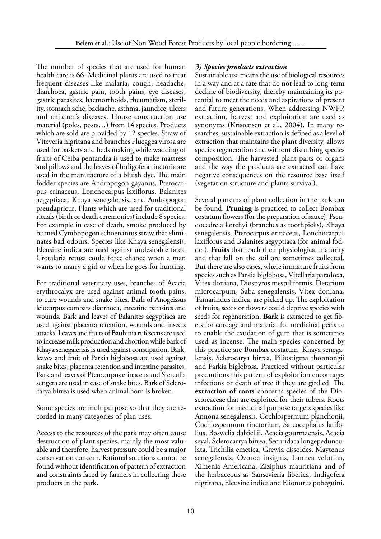The number of species that are used for human health care is 66. Medicinal plants are used to treat frequent diseases like malaria, cough, headache, diarrhoea, gastric pain, tooth pains, eye diseases, gastric parasites, haemorrhoids, rheumatism, sterility, stomach ache, backache, asthma, jaundice, ulcers and children's diseases. House construction use material (poles, posts…) from 14 species. Products which are sold are provided by 12 species. Straw of Viteveria nigritana and branches Flueggea virosa are used for baskets and beds making while wadding of fruits of Ceiba pentandra is used to make mattress and pillows and the leaves of Indigofera tinctoria are used in the manufacture of a bluish dye. The main fodder species are Andropogon gayanus, Pterocarpus erinaceus, Lonchocarpus laxiflorus, Balanites aegyptiaca, Khaya senegalensis, and Andropogon pseudapricus. Plants which are used for traditional rituals (birth or death ceremonies) include 8 species. For example in case of death, smoke produced by burned Cymbopogon schoenantus straw that eliminates bad odours. Species like Khaya senegalensis, Eleusine indica are used against undesirable fates. Crotalaria retusa could force chance when a man wants to marry a girl or when he goes for hunting.

For traditional veterinary uses, branches of Acacia erythrocalyx are used against animal tooth pains, to cure wounds and snake bites. Bark of Anogeissus leiocarpus combats diarrhoea, intestine parasites and wounds. Bark and leaves of Balanites aegyptiaca are used against placenta retention, wounds and insects attacks. Leaves and fruits of Bauhinia rufescens are used to increase milk production and abortion while bark of Khaya senegalensis is used against constipation. Bark, leaves and fruit of Parkia biglobosa are used against snake bites, placenta retention and intestine parasites. Bark and leaves of Pterocarpus erinaceus and Sterculia setigera are used in case of snake bites. Bark of Sclerocarya birrea is used when animal horn is broken.

Some species are multipurpose so that they are recorded in many categories of plan uses.

Access to the resources of the park may often cause destruction of plant species, mainly the most valuable and therefore, harvest pressure could be a major conservation concern. Rational solutions cannot be found without identification of pattern of extraction and constraints faced by farmers in collecting these products in the park.

### *3) Species products extraction*

Sustainable use means the use of biological resources in a way and at a rate that do not lead to long-term decline of biodiversity, thereby maintaining its potential to meet the needs and aspirations of present and future generations. When addressing NWFP, extraction, harvest and exploitation are used as synonyms (Kristensen et al., 2004). In many researches, sustainable extraction is defined as a level of extraction that maintains the plant diversity, allows species regeneration and without disturbing species composition. The harvested plant parts or organs and the way the products are extracted can have negative consequences on the resource base itself (vegetation structure and plants survival).

Several patterns of plant collection in the park can be found. **Pruning** is practiced to collect Bombax costatum flowers (for the preparation of sauce), Pseudocedrela kotchyi (branches as toothpicks), Khaya senegalensis, Pterocarpus erinaceus, Lonchocarpus laxiflorus and Balanites aegyptiaca (for animal fodder). **Fruits** that reach their physiological maturity and that fall on the soil are sometimes collected. But there are also cases, where immature fruits from species such as Parkia biglobosa, Vitellaria paradoxa, Vitex doniana, Diospyros mespiliformis, Detarium microcarpum, Saba senegalensis, Vitex doniana, Tamarindus indica, are picked up. The exploitation of fruits, seeds or flowers could deprive species with seeds for regeneration. **Bark** is extracted to get fibers for cordage and material for medicinal peels or to enable the exudation of gum that is sometimes used as incense. The main species concerned by this practice are Bombax costatum, Khaya senegalensis, Sclerocarya birrea, Piliostigma thonnongii and Parkia biglobosa. Practiced without particular precautions this pattern of exploitation encourages infections or death of tree if they are girdled. The **extraction of roots** concerns species of the Dioscoreaceae that are exploited for their tubers. Roots extraction for medicinal purpose targets species like Annona senegalensis, Cochlospermum planchonii, Cochlospermum tinctorium, Sarcocephalus latifolius, Boswelia dalziellii, Acacia gourmaensis, Acacia seyal, Sclerocarrya birrea, Securidaca longepedunculata, Trichilia emetica, Grewia cissoides, Maytenus senegalensis, Ozoroa insignis, Lannea velutina, Ximenia Americana, Ziziphus mauritiana and of the herbaceous as Sansevieria liberica, Indigofera nigritana, Eleusine indica and Elionurus pobeguini.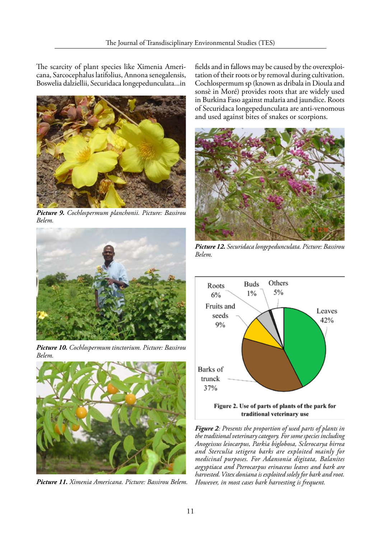The scarcity of plant species like Ximenia Americana, Sarcocephalus latifolius, Annona senegalensis, Boswelia dalziellii, Securidaca longepedunculata...in



*Picture 9. Cochlospermum planchonii. Picture: Bassirou Belem.*



*Picture 10. Cochlospermum tinctorium. Picture: Bassirou Belem.*



*Picture 11. Ximenia Americana. Picture: Bassirou Belem.*

fields and in fallows may be caused by the overexploitation of their roots or by removal during cultivation. Cochlospermum sp (known as dribala in Dioula and sonsè in Moré) provides roots that are widely used in Burkina Faso against malaria and jaundice. Roots of Securidaca longepedunculata are anti-venomous and used against bites of snakes or scorpions.



*Picture 12. Securidaca longepedunculata. Picture: Bassirou Belem.*



*Figure 2: Presents the proportion of used parts of plants in the traditional veterinary category. For some species including Anogeissus leiocarpus, Parkia biglobosa, Sclerocarya birrea and Sterculia setigera barks are exploited mainly for medicinal purposes. For Adansonia digitata, Balanites aegyptiaca and Pterocarpus erinaceus leaves and bark are harvested. Vitex doniana is exploited solely for bark and root. However, in most cases bark harvesting is frequent.*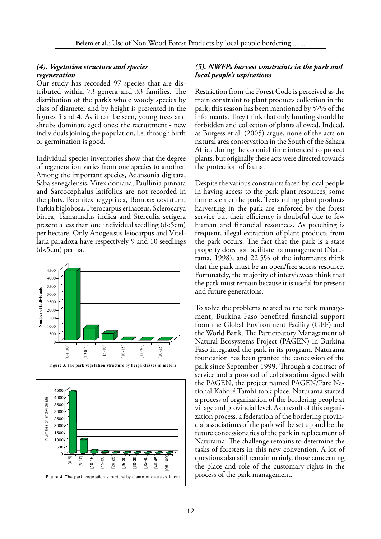#### *(4). Vegetation structure and species regeneration*

Our study has recorded 97 species that are distributed within 73 genera and 33 families. The distribution of the park's whole woody species by class of diameter and by height is presented in the figures 3 and 4. As it can be seen, young trees and shrubs dominate aged ones; the recruitment - new individuals joining the population, i.e. through birth or germination is good.

Individual species inventories show that the degree of regeneration varies from one species to another. Among the important species, Adansonia digitata, Saba senegalensis, Vitex doniana, Paullinia pinnata and Sarcocephalus latifolius are not recorded in the plots. Balanites aegyptiaca, Bombax costatum, Parkia biglobosa, Pterocarpus erinaceus, Sclerocarya birrea, Tamarindus indica and Sterculia setigera present a less than one individual seedling  $(d<5cm)$ per hectare. Only Anogeissus leiocarpus and Vitellaria paradoxa have respectively 9 and 10 seedlings (d<5cm) per ha.





#### *(5). NWFPs harvest constraints in the park and local people's uspirations*

Restriction from the Forest Code is perceived as the main constraint to plant products collection in the park; this reason has been mentioned by 57% of the informants. They think that only hunting should be forbidden and collection of plants allowed. Indeed, as Burgess et al. (2005) argue, none of the acts on natural area conservation in the South of the Sahara Africa during the colonial time intended to protect plants, but originally these acts were directed towards the protection of fauna.

Despite the various constraints faced by local people in having access to the park plant resources, some farmers enter the park. Texts ruling plant products harvesting in the park are enforced by the forest service but their efficiency is doubtful due to few human and financial resources. As poaching is frequent, illegal extraction of plant products from the park occurs. The fact that the park is a state property does not facilitate its management (Naturama, 1998), and 22.5% of the informants think that the park must be an open/free access resource. Fortunately, the majority of interviewees think that the park must remain because it is useful for present and future generations.

To solve the problems related to the park management, Burkina Faso benefited financial support from the Global Environment Facility (GEF) and the World Bank. The Participatory Management of Natural Ecosystems Project (PAGEN) in Burkina Faso integrated the park in its program. Naturama foundation has been granted the concession of the park since September 1999. Through a contract of service and a protocol of collaboration signed with the PAGEN, the project named PAGEN/Parc National Kaboré Tambi took place. Naturama started a process of organization of the bordering people at village and provincial level. As a result of this organization process, a federation of the bordering provincial associations of the park will be set up and be the future concessionaries of the park in replacement of Naturama. The challenge remains to determine the tasks of foresters in this new convention. A lot of questions also still remain mainly, those concerning the place and role of the customary rights in the process of the park management.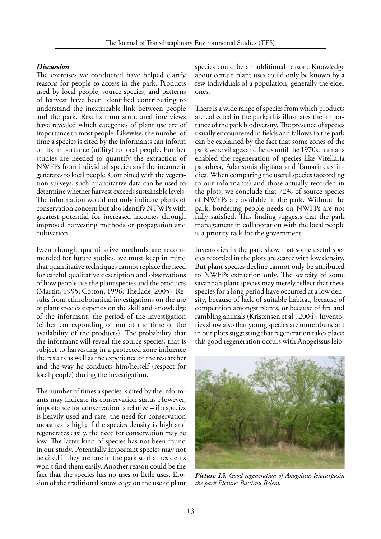#### *Discussion*

The exercises we conducted have helped clarify reasons for people to access in the park. Products used by local people, source species, and patterns of harvest have been identified contributing to understand the inextricable link between people and the park. Results from structured interviews have revealed which categories of plant use are of importance to most people. Likewise, the number of time a species is cited by the informants can inform on its importance (utility) to local people. Further studies are needed to quantify the extraction of NWFPs from individual species and the income it generates to local people. Combined with the vegetation surveys, such quantitative data can be used to determine whether harvest exceeds sustainable levels. The information would not only indicate plants of conservation concern but also identify NTWPs with greatest potential for increased incomes through improved harvesting methods or propagation and cultivation.

Even though quantitative methods are recommended for future studies, we must keep in mind that quantitative techniques cannot replace the need for careful qualitative description and observations of how people use the plant species and the products (Martin, 1995; Cotton, 1996; Theilade, 2005). Results from ethnobotanical investigations on the use of plant species depends on the skill and knowledge of the informant, the period of the investigation (either corresponding or not at the time of the availability of the products). The probability that the informant will reveal the source species, that is subject to harvesting in a protected zone influence the results as well as the experience of the researcher and the way he conducts him/herself (respect for local people) during the investigation.

The number of times a species is cited by the informants may indicate its conservation status However, importance for conservation is relative – if a species is heavily used and rare, the need for conservation measures is high; if the species density is high and regenerates easily, the need for conservation may be low. The latter kind of species has not been found in our study. Potentially important species may not be cited if they are rare in the park so that residents won't find them easily. Another reason could be the fact that the species has no uses or little uses. Erosion of the traditional knowledge on the use of plant

species could be an additional reason. Knowledge about certain plant uses could only be known by a few individuals of a population, generally the elder ones.

There is a wide range of species from which products are collected in the park; this illustrates the importance of the park biodiversity. The presence of species usually encountered in fields and fallows in the park can be explained by the fact that some zones of the park were villages and fields until the 1970s; humans enabled the regeneration of species like Vitellaria paradoxa, Adansonia digitata and Tamarindus indica. When comparing the useful species (according to our informants) and those actually recorded in the plots, we conclude that 72% of source species of NWFPs are available in the park. Without the park, bordering people needs on NWFPs are not fully satisfied. This finding suggests that the park management in collaboration with the local people is a priority task for the government.

Inventories in the park show that some useful species recorded in the plots are scarce with low density. But plant species decline cannot only be attributed to NWFPs extraction only. The scarcity of some savannah plant species may merely reflect that these species for a long period have occurred at a low density, because of lack of suitable habitat, because of competition amongst plants, or because of fire and rambling animals (Kristensen et al., 2004). Inventories show also that young species are more abundant in our plots suggesting that regeneration takes place; this good regeneration occurs with Anogeissus leio-



*Picture 13. Good regeneration of Anogeissus leiocarpusin the park Picture: Bassirou Belem.*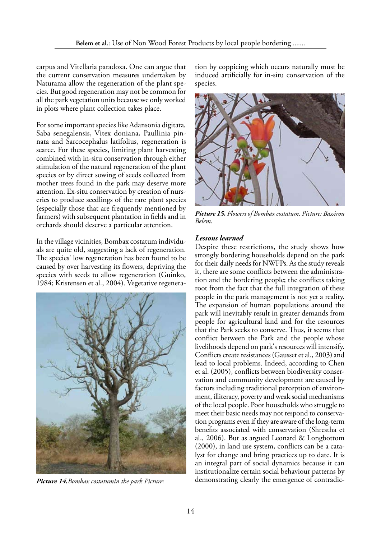carpus and Vitellaria paradoxa. One can argue that the current conservation measures undertaken by Naturama allow the regeneration of the plant species. But good regeneration may not be common for all the park vegetation units because we only worked in plots where plant collection takes place.

For some important species like Adansonia digitata, Saba senegalensis, Vitex doniana, Paullinia pinnata and Sarcocephalus latifolius, regeneration is scarce. For these species, limiting plant harvesting combined with in-situ conservation through either stimulation of the natural regeneration of the plant species or by direct sowing of seeds collected from mother trees found in the park may deserve more attention. Ex-situ conservation by creation of nurseries to produce seedlings of the rare plant species (especially those that are frequently mentioned by farmers) with subsequent plantation in fields and in orchards should deserve a particular attention.

In the village vicinities, Bombax costatum individuals are quite old, suggesting a lack of regeneration. The species' low regeneration has been found to be caused by over harvesting its flowers, depriving the species with seeds to allow regeneration (Guinko, 1984; Kristensen et al., 2004). Vegetative regenera-



tion by coppicing which occurs naturally must be induced artificially for in-situ conservation of the species.



*Picture 15. Flowers of Bombax costatum. Picture: Bassirou Belem.*

#### *Lessons learned*

Despite these restrictions, the study shows how strongly bordering households depend on the park for their daily needs for NWFPs. As the study reveals it, there are some conflicts between the administration and the bordering people; the conflicts taking root from the fact that the full integration of these people in the park management is not yet a reality. The expansion of human populations around the park will inevitably result in greater demands from people for agricultural land and for the resources that the Park seeks to conserve. Thus, it seems that conflict between the Park and the people whose livelihoods depend on park's resources will intensify. Conflicts create resistances (Gausset et al., 2003) and lead to local problems. Indeed, according to Chen et al. (2005), conflicts between biodiversity conservation and community development are caused by factors including traditional perception of environment, illiteracy, poverty and weak social mechanisms of the local people. Poor households who struggle to meet their basic needs may not respond to conservation programs even if they are aware of the long-term benefits associated with conservation (Shrestha et al., 2006). But as argued Leonard & Longbottom (2000), in land use system, conflicts can be a catalyst for change and bring practices up to date. It is an integral part of social dynamics because it can institutionalize certain social behaviour patterns by *Picture 14.Bombax costatumin the park Picture:* demonstrating clearly the emergence of contradic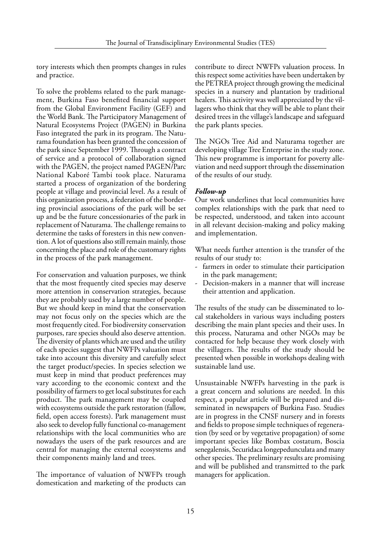tory interests which then prompts changes in rules and practice.

To solve the problems related to the park management, Burkina Faso benefited financial support from the Global Environment Facility (GEF) and the World Bank. The Participatory Management of Natural Ecosystems Project (PAGEN) in Burkina Faso integrated the park in its program. The Naturama foundation has been granted the concession of the park since September 1999. Through a contract of service and a protocol of collaboration signed with the PAGEN, the project named PAGEN/Parc National Kaboré Tambi took place. Naturama started a process of organization of the bordering people at village and provincial level. As a result of this organization process, a federation of the bordering provincial associations of the park will be set up and be the future concessionaries of the park in replacement of Naturama. The challenge remains to determine the tasks of foresters in this new convention. A lot of questions also still remain mainly, those concerning the place and role of the customary rights in the process of the park management.

For conservation and valuation purposes, we think that the most frequently cited species may deserve more attention in conservation strategies, because they are probably used by a large number of people. But we should keep in mind that the conservation may not focus only on the species which are the most frequently cited. For biodiversity conservation purposes, rare species should also deserve attention. The diversity of plants which are used and the utility of each species suggest that NWFPs valuation must take into account this diversity and carefully select the target product/species. In species selection we must keep in mind that product preferences may vary according to the economic context and the possibility of farmers to get local substitutes for each product. The park management may be coupled with ecosystems outside the park restoration (fallow, field, open access forests). Park management must also seek to develop fully functional co-management relationships with the local communities who are nowadays the users of the park resources and are central for managing the external ecosystems and their components mainly land and trees.

The importance of valuation of NWFPs trough domestication and marketing of the products can

contribute to direct NWFPs valuation process. In this respect some activities have been undertaken by the PETREA project through growing the medicinal species in a nursery and plantation by traditional healers. This activity was well appreciated by the villagers who think that they will be able to plant their desired trees in the village's landscape and safeguard the park plants species.

The NGOs Tree Aid and Naturama together are developing village Tree Enterprise in the study zone. This new programme is important for poverty alleviation and need support through the dissemination of the results of our study.

### *Follow-up*

Our work underlines that local communities have complex relationships with the park that need to be respected, understood, and taken into account in all relevant decision-making and policy making and implementation.

What needs further attention is the transfer of the results of our study to:

- farmers in order to stimulate their participation in the park management;
- Decision-makers in a manner that will increase their attention and application.

The results of the study can be disseminated to local stakeholders in various ways including posters describing the main plant species and their uses. In this process, Naturama and other NGOs may be contacted for help because they work closely with the villagers. The results of the study should be presented when possible in workshops dealing with sustainable land use.

Unsustainable NWFPs harvesting in the park is a great concern and solutions are needed. In this respect, a popular article will be prepared and disseminated in newspapers of Burkina Faso. Studies are in progress in the CNSF nursery and in forests and fields to propose simple techniques of regeneration (by seed or by vegetative propagation) of some important species like Bombax costatum, Boscia senegalensis, Securidaca longepedunculata and many other species. The preliminary results are promising and will be published and transmitted to the park managers for application.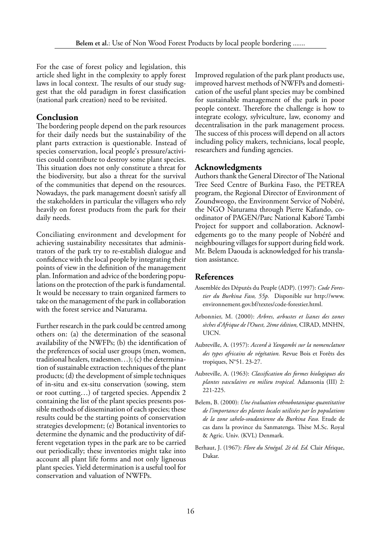For the case of forest policy and legislation, this article shed light in the complexity to apply forest laws in local context. The results of our study suggest that the old paradigm in forest classification (national park creation) need to be revisited.

# **Conclusion**

The bordering people depend on the park resources for their daily needs but the sustainability of the plant parts extraction is questionable. Instead of species conservation, local people's pressure/activities could contribute to destroy some plant species. This situation does not only constitute a threat for the biodiversity, but also a threat for the survival of the communities that depend on the resources. Nowadays, the park management doesn't satisfy all the stakeholders in particular the villagers who rely heavily on forest products from the park for their daily needs.

Conciliating environment and development for achieving sustainability necessitates that administrators of the park try to re-establish dialogue and confidence with the local people by integrating their points of view in the definition of the management plan. Information and advice of the bordering populations on the protection of the park is fundamental. It would be necessary to train organized farmers to take on the management of the park in collaboration with the forest service and Naturama.

Further research in the park could be centred among others on: (a) the determination of the seasonal availability of the NWFPs; (b) the identification of the preferences of social user groups (men, women, traditional healers, tradesmen…); (c) the determination of sustainable extraction techniques of the plant products; (d) the development of simple techniques of in-situ and ex-situ conservation (sowing, stem or root cutting…) of targeted species. Appendix 2 containing the list of the plant species presents possible methods of dissemination of each species; these results could be the starting points of conservation strategies development; (e) Botanical inventories to determine the dynamic and the productivity of different vegetation types in the park are to be carried out periodically; these inventories might take into account all plant life forms and not only ligneous plant species. Yield determination is a useful tool for conservation and valuation of NWFPs.

Improved regulation of the park plant products use, improved harvest methods of NWFPs and domestication of the useful plant species may be combined for sustainable management of the park in poor people context. Therefore the challenge is how to integrate ecology, sylviculture, law, economy and decentralisation in the park management process. The success of this process will depend on all actors including policy makers, technicians, local people, researchers and funding agencies.

# **Acknowledgments**

Authors thank the General Director of The National Tree Seed Centre of Burkina Faso, the PETREA program, the Regional Director of Environment of Zoundweogo, the Environment Service of Nobéré, the NGO Naturama through Pierre Kafando, coordinator of PAGEN/Parc National Kaboré Tambi Project for support and collaboration. Acknowledgements go to the many people of Nobéré and neighbouring villages for support during field work. Mr. Belem Daouda is acknowledged for his translation assistance.

# **References**

- Assemblée des Députés du Peuple (ADP). (1997): *Code Forestier du Burkina Faso, 55p.* Disponible sur http://www. environnement.gov.bf/textes/code-forestier.html.
- Arbonnier, M. (2000): *Arbres, arbustes et lianes des zones sèches d'Afrique de l'Ouest, 2ème édition,* CIRAD, MNHN, UICN.
- Aubreville, A. (1957): *Accord à Yangambi sur la nomenclature des types africains de végétation.* Revue Bois et Forêts des tropiques, N°51. 23-27.
- Aubreville, A. (1963): *Classification des formes biologiques des plantes vasculaires en milieu tropical.* Adansonia (III) 2: 221-225.
- Belem, B. (2000): *Une évaluation ethnobotanique quantitative de l'importance des plantes locales utilisées par les populations de la zone sahelo-soudanienne du Burkina Faso.* Etude de cas dans la province du Sanmatenga. Thèse M.Sc. Royal & Agric. Univ. (KVL) Denmark.
- Berhaut, J. (1967): *Flore du Sénégal. 2è éd. Ed.* Clair Afrique, Dakar.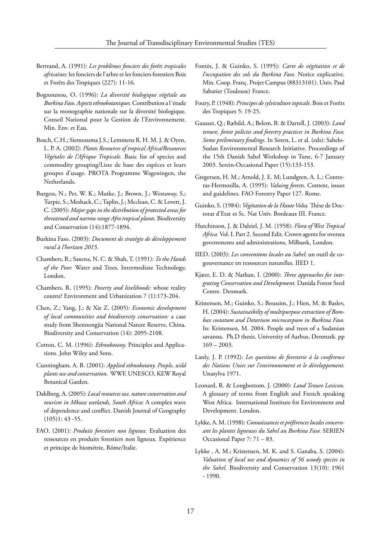- Bertrand, A. (1991): *Les problèmes fonciers des forêts tropicales africaines:* les fonciers de l'arbre et les fonciers forestiers Bois et Forêts des Tropiques (227): 11-16.
- Bognounou, O. (1996): *La diversité biologique végétale au Burkina Faso. Aspects ethnobotaniques.* Contribution a l´étude sur la monographie nationale sur la diversité biologique. Conseil National pour la Gestion de l'Environnement. Min. Env. et Eau.
- Bosch, C.H.; Siemonsma J.S.; Lemmens R. H. M. J. & Oyen, L. P. A. (2002): *Plants Resources of tropical Africa/Ressources Végétales de l'Afrique Tropicale.* Basic list of species and commodity grouping/Liste de base des espèces et leurs groupes d'usage. PROTA Programme Wageningen, the Netherlands.
- Burgess, N.; Per, W. K.; Mutke, J.; Brown, J.; Westaway, S.; Turpie, S.; Meshack, C.; Taplin, J.; Mcclean, C. & Lovett, J. C. (2005): *Major gaps in the distribution of protected areas for threatened and narrow range Afro tropical plants.* Biodiversity and Conservation (14):1877-1894.
- Burkina Faso. (2003): *Document de stratégie de développement rural à l'horizon 2015.*
- Chambers, R.; Saxena, N. C. & Shah, T. (1991): *To the Hands of the Poor.* Water and Trees, Intermediate Technology, London.
- Chambers, R. (1995): *Poverty and livelihoods:* whose reality counts? Environment and Urbanization 7 (1):173-204.
- Chen, Z.; Yang, J.; & Xie Z. (2005): *Economic development of local communities and biodiversity conservation:* a case study from Shennongjia National Nature Reserve, China. Biodiversity and Conservation (14): 2095-2108.
- Cotton, C. M. (1996): *Ethnobotany.* Principles and Applications. John Wiley and Sons.
- Cunningham, A. B. (2001): *Applied ethnobotany. People, wild plants use and conservation.* WWF, UNESCO, KEW Royal Botanical Garden.
- Dahlberg, A. (2005): *Local resources use, nature conservation and tourism in Mkuze wetlands, South Africa:* A complex wave of dependence and conflict. Danish Journal of Geography  $(105)1:43-55.$
- FAO. (2001): *Produits forestiers non ligneux.* Evaluation des ressources en produits forestiers non ligneux. Expérience et principe de biométrie, Rôme/Italie.
- Fontès, J. & Guinko, S. (1995): *Carte de végétation et de l'occupation des sols du Burkina Faso.* Notice explicative. Min. Coop. Franç. Projet Campus (88313101). Univ. Paul Sabatier (Toulouse) France.
- Foury, P. (1948): *Principes de sylviculture topicale*. Bois et Forêts des Tropiques 5: 19-25.
- Gausset, Q.; Ræbild, A.; Belem, B. & Dartell, J. (2003): *Land tenure, forest policies and forestry practices in Burkina Faso. Some preliminary findings.* In Soren, L. et al. (eds): Sahelo-Sudan Environmental Research Initiative. Proceedings of the 15th Danish Sahel Workshop in Tune, 6-7 January 2003. Serein-Occasional Paper (15):133-153.
- Gregersen, H. M.; Arnold, J. E. M; Lundgren, A. L.; Contreras-Hermosilla, A. (1995): *Valuing forests.* Context, issues and guidelines. FAO Forestry Paper 127. Rome.
- Guinko, S. (1984): *Végétation de la Haute Volta.* Thèse de Doctorat d'Etat es Sc. Nat Univ. Bordeaux III. France.
- Hutchinson, J. & Dalziel, J. M. (1958): *Flora of West Tropical Africa.* Vol. I. Part 2. Second Edit. Crown agents for oversea governments and administrations, Milbank, London.
- IIED. (2003): *Les conventions locales au Sahel:* un outil de cogouvernance en ressources naturelles. IIED 1.
- Kjæer, E. D. & Nathan, I. (2000): *Three approaches for integrating Conservation and Development.* Danida Forest Seed Centre. Denmark.
- Kristensen, M.; Guinko, S.; Boussim, J.; Hien, M. & Baslev, H. (2004): *Sustainaibilty of multipurpose extraction of Bombax costatum and Detarium microcarpum in Burkina Faso*. In: Kristensen, M. 2004. People and trees of a Sudanian savanna. Ph.D thesis. University of Aarhus, Denmark. pp  $169 - 2003$ .
- Lanly, J. P. (1992): *Les questions de foresterie à la conférence des Nations Unies sur l'environnement et le développement.*  Unasylva 1971.
- Leonard, R. & Longbottom, J. (2000): *Land Tenure Lexicon.*  A glossary of terms from English and French speaking West Africa. International Institute for Environment and Development. London.
- Lykke, A. M. (1998): *Connaissances et préférences locales concernant les plantes ligneuses du Sahel au Burkina Faso.* SERIEN Occasional Paper 7: 71 – 83.
- Lykke , A. M.; Kristensen, M. K. and S. Ganaba, S. (2004): *Valuation of local use and dynamics of 56 woody species in the Sahel.* Biodiversity and Conservation 13(10): 1961 - 1990.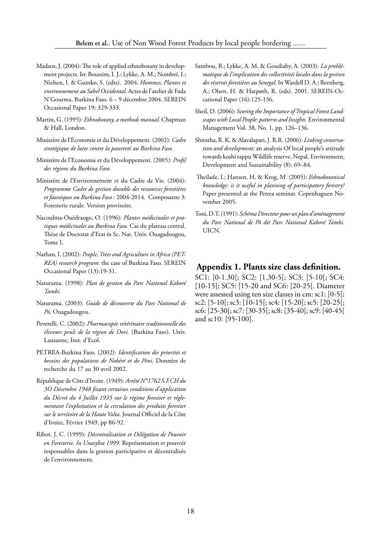- Madsen, J. (2004): The role of applied ethnobotany in development projects. In: Boussim, I. J.; Lykke, A. M.; Nombré, I.; Nielsen, I. & Guinko, S. (edts). 2004. *Hommes, Plantes et environnement au Sahel Occidental.* Actes de l'atelier de Fada N'Gourma, Burkina Faso. 6 – 9 décembre 2004. SEREIN Occasional Paper 19: 329-333.
- Martin, G. (1995): *Ethnobotany, a methods manual.* Chapman & Hall, London.
- Ministère de l'Economie et du Développement. (2002): *Cadre stratégique de lutte contre la pauvreté au Burkina Faso.*
- Ministère de l'Economie et du Développement. (2005): *Profil des régions du Burkina Faso.*
- Ministère de l'Environnement et du Cadre de Vie. (2004): *Programme Cadre de gestion durable des ressources forestières et fauniques au Burkina Faso* : 2004-2014. Composante 3: Foresterie rurale. Version provisoire.
- Nacoulma-Ouédraogo, O. (1996): *Plantes médicinales et pratiques médicinales au Burkina Faso.* Cas du plateau central. Thèse de Doctorat d'Etat ès Sc. Nat. Univ. Ouagadougou, Tome I,
- Nathan, I. (2002): *People, Trees and Agriculture in Africa (PET-REA) research program*: the case of Burkina Faso. SEREIN Occasional Paper (13):19-31.
- Naturama. (1998): *Plan de gestion du Parc National Kaboré Tambi.*
- Naturama. (2003): *Guide de découverte du Parc National de Pô,* Ouagadougou.
- Peverelli, C. (2002): *Pharmacopée vétérinaire traditionnelle des éleveurs peuls de la région de Dori.* (Burkina Faso). Univ. Lausanne, Inst. d'Ecol.
- PETREA-Burkina Faso. (2002): *Identification des priorités et besoins des populations de Nobéré et de Péni.* Données de recherche du 17 au 30 avril 2002.
- République de Côte d'Ivoire. (1949): *Arrêté N°1762 S.F.CH du 3O Décembre 1948 fixant certaines conditions d'application du Décret du 4 Juillet 1935 sur le régime forestier et réglementant l'exploitation et la circulation des produits forestier sur le territoire de la Haute Volta.* Journal Officiel de la Côte d'Ivoire, Février 1949, pp 86-92.
- Ribot, J. C. (1999): *Décentralisation et Délégation de Pouvoir en Foresterie. In Unasylva 1999.* Représentation et pouvoir responsables dans la gestion participative et décentralisée de l'environnement.
- Sambou, B.; Lykke, A. M. & Goudiaby, A. (2003): *La problématique de l'implication des collectivités locales dans la gestion des réserves forestières au Senegal.* In Wardell D. A.; Reenberg, A.; Olsen, H. & Harpøth, R. (eds). 2001. SEREIN-Occational Paper (16):125-136.
- Sheil, D. (2006): *Scoring the Importance of Tropical Forest Landscapes with Local People: patterns and Insights.* Environmental Management Vol. 38, No. 1, pp. 126–136.
- Shrestha, R. K. & Alavalapati, J. R.R. (2006): *Linking conservation and development:* an analysis Of local people's attitude towards koshi tappu Wildlife reserve, Nepal. Environment, Development and Sustainability (8): 69–84.
- Theilade, I.; Hansen, H. & Krog, M. (2005): *Ethnobotanical knowledge: is it useful in planning of participatory forestry?*  Paper presented at the Petrea seminar. Copenhaguen November 2005.
- Toni, D.T. (1991): *Schéma Directeur pour un plan d'aménagement du Parc National de Pô dit Parc National Kaboré Tambi*. UICN.

### **Appendix 1. Plants size class definition.**

SC1: [0-1.30[; SC2: [1.30-5[; SC3: [5-10[; SC4: [10-15[; SC5: [15-20 and SC6: [20-25[. Diameter were assessed using ten size classes in cm: sc1: [0-5[; sc2: [5-10[; sc3: [10-15[; sc4: [15-20[; sc5: [20-25[; sc6: [25-30[; sc7: [30-35[; sc8: [35-40[; sc9: [40-45[ and sc10: [95-100].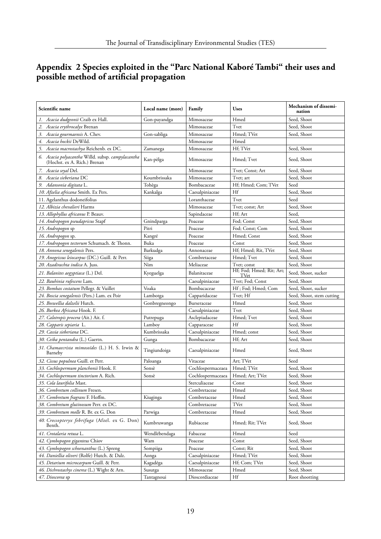# **Appendix 2 Species exploited in the "Parc National Kaboré Tambi" their uses and possible method of artificial propagation**

| Scientific name                                                                   | Local name (more) | Family            | <b>Uses</b>                      | Mechanism of dissemi-<br>nation |
|-----------------------------------------------------------------------------------|-------------------|-------------------|----------------------------------|---------------------------------|
| Acacia dudgeonii Craib ex Hall.<br>1.                                             | Gon-payandga      | Mimosaceae        | Hmed                             | Seed, Shoot                     |
| Acacia erythrocalyx Brenan<br>2.                                                  |                   | Mimosaceae        | Tvet                             | Seed, Shoot                     |
| Acacia gourmaensis A. Chev.<br>3.                                                 | Gon-sabliga       | Mimosaceae        | Hmed; TVet                       | Seed, Shoot                     |
| Acacia hockii DeWild.<br>4.                                                       |                   | Mimosaceae        | Hmed                             |                                 |
| Acacia macrostachya Reichenb. ex DC.<br>5.                                        | Zamanega          | Mimosaceae        | Hf; TVet                         | Seed, Shoot                     |
| 6. Acacia polyacantha Willd. subsp. campylacantha<br>(Hochst. ex A. Rich.) Brenan | Kan-pèlga         | Mimosaceae        | Hmed; Tvet                       | Seed, Shoot                     |
| 7. Acacia seyal Del.                                                              |                   | Mimosaceae        | Tvet; Const; Art                 | Seed, Shoot                     |
| 8. Acacia sieberiana DC                                                           | Koumbrissaka      | Mimosaceae        | Tvet; art                        | Seed, Shoot                     |
| 9. Adansonia digitata L.                                                          | Tohèga            | Bombacaceae       | Hf; Hmed; Com; TVet              | Seed                            |
| 10. Afzelia africana Smith. Ex Pers.                                              | Kankalga          | Caesalpiniaceae   | Hf                               | Seed, Shoot                     |
| 11. Agelanthus dodoneifolius                                                      |                   | Loranthaceae      | Tvet                             | Seed                            |
| 12. Albizia chevalieri Harms                                                      |                   | Mimosaceae        | Tvet; const; Art                 | Seed, Shoot                     |
| 13. Allophyllus africanus P. Beauv.                                               |                   | Sapindaceae       | Hf; Art                          | Seed,                           |
| 14. Andropogon pseudapricus Stapf                                                 | Gnindparga        | Poaceae           | Fod; Const                       | Seed, Shoot                     |
| 15. Andropogon sp                                                                 | Pitri             | Poaceae           | Fod; Const; Com                  | Seed, Shoot                     |
| 16. Andropogon sp.                                                                | Kangré            | Poaceae           | Hmed; Const                      | Seed, Shoot                     |
| 17. Andropogon tectorum Schumach. & Thonn.                                        | Buka              | Poaceae           | Const                            | Seed, Shoot                     |
| 18. Annona senegalensis Pers.                                                     | Barkudga          | Annonaceae        | Hf; Hmed; Rit, TVet              | Seed, Shoot                     |
| 19. Anogeissus leiocarpus (DC.) Guill. & Perr.                                    | Siiga             | Combretaceae      | Hmed; Tvet                       | Seed, Shoot                     |
| 20. Azadirachta indica A. Juss.                                                   | Nim               | Meliaceae         | Tvet; const                      | Seed, Shoot                     |
| 21. Balanites aegyptiaca (L.) Del.                                                | Kyeguelga         | Balanitaceae      | Hf; Fod; Hmed; Rit; Art;<br>TVet | Seed, Shoot, sucker             |
| 22. Bauhinia rufescens Lam.                                                       |                   | Caesalpiniaceae   | Tvet; Fod; Const                 | Seed, Shoot                     |
| 23. Bombax costatum Pellegr. & Vuillet                                            | Voaka             | Bombacaceae       | Hf; Fod; Hmed; Com               | Seed, Shoot, sucker             |
| 24. Boscia senegalensis (Pers.) Lam. ex Poir                                      | Lambotga          | Capparidaceae     | Tvet; Hf                         | Seed, Shoot, stem cutting       |
| 25. Boswellia dalzelii Hutch.                                                     | Gonbregneongo     | Burseraceae       | Hmed                             | Seed, Shoot                     |
| 26. Burkea Africana Hook. F.                                                      |                   | Caesalpiniaceae   | Tvet                             | Seed, Shoot                     |
| 27. Calotropis procera (Ait.) Ait. f.                                             | Putrepuga         | Asclepiadaceae    | Hmed; Tvet                       | Seed, Shoot                     |
| 28. Capparis sepiaria L.                                                          | Lamboy            | Capparaceae       | Hf                               | Seed, Shoot                     |
| 29. Cassia sieberiana DC.                                                         | Kumbrissaka       | Caesalpiniaceae   | Hmed; const                      | Seed, Shoot                     |
| 30. Ceiba pentandra (L.) Gaertn.                                                  | Gunga             | Bombacaceae       | Hf; Art                          | Seed, Shoot                     |
| 31. Chamaecrista mimosoïdes (L.) H. S. Irwin &<br>Barneby                         | Tingiundoiga      | Caesalpiniaceae   | Hmed                             | Seed, Shoot                     |
| 32. Cissus populnea Guill. et Perr.                                               | Paloanga          | Vitaceae          | Art; TVet                        | Seed                            |
| 33. Cochlospermum planchonii Hook. F.                                             | Sonsè             | Cochlospermaceaea | Hmed; TVet                       | Seed, Shoot                     |
| 34. Cochlospermum tinctorium A. Rich.                                             | Sonsè             | Cochlospermaceaea | Hmed; Art; TVet                  | Seed, Shoot                     |
| 35. Cola laurifolia Mast.                                                         |                   | Sterculiaceae     | Const                            | Seed, Shoot                     |
| 36. Combretum collinum Fresen.                                                    |                   | Combretaceae      | H <sub>med</sub>                 | Seed, Shoot                     |
| 37. Combretum fragrans F. Hoffm.                                                  | Kiuginga          | Combretaceae      | Hmed                             | Seed, Shoot                     |
| 38. Combretum glutinosum Perr. ex DC.                                             |                   | Combretaceae      | TVet                             | Seed, Shoot                     |
| 39. Combretum molle R. Br. ex G. Don                                              | Parwiga           | Combretaceae      | Hmed                             | Seed, Shoot                     |
| 40. Crossopteryx febrifuga (Afzel. ex G. Don)<br>Benth.                           | Kumbruwanga       | Rubiaceae         | Hmed; Rit; TVet                  | Seed, Shoot                     |
| 41. Crotalaria retusa L.                                                          | Wendlébendaga     | Fabaceae          | Hmed                             | Seed                            |
| 42. Cymbopogon giganteus Chiov                                                    | Wam               | Poaceae           | Const                            | Seed, Shoot                     |
| 43. Cymbopogon schoenanthus (L.) Spreng                                           | Sompiiga          | Poaceae           | Const; Rit                       | Seed, Shoot                     |
| 44. Daniellia oliveri (Rolfe) Hutch. & Dalz.                                      | Aonga             | Caesalpiniaceae   | Hmed; TVet                       | Seed, Shoot                     |
| 45. Detarium microcarpum Guill. & Perr.                                           | Kagadéga          | Caesalpiniaceae   | Hf; Com; TVet                    | Seed, Shoot                     |
| 46. Dichrostachys cinerea (L.) Wight & Arn.                                       | Susutga           | Mimosaceae        | Hmed                             | Seed, Shoot                     |
| 47. Dioscorea sp                                                                  | Tantagnoui        | Dioscordiaceae    | Hf                               | Root shootting                  |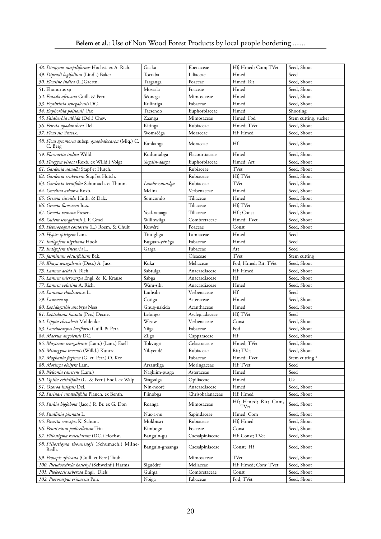| 49. Dipcadi logifolium (Lindl.) Baker<br>Toctaba<br>Seed<br>Liliaceae<br>Hmed<br>Seed, Shoot<br>50. Eleusine indica (L.)Gaertn.<br>Poaceae<br>Hmed; Rit<br>Targanga<br>51. Elionurus sp<br>Seed, Shoot<br>Mosaala<br>Poaceae<br>Hmed<br>Seed, Shoot<br>52. Entada africana Guill. & Perr.<br>Séonega<br>Hmed<br>Mimosaceae<br>Seed, Shoot<br>53. Erythrinia senegalensis DC.<br>Kulintiga<br>Fabaceae<br>Hmed<br>54. Euphorbia poissonii Pax<br>Tacsendo<br>Euphorbiaceae<br>Hmed<br>Shooting<br>55. Faidherbia albida (Del.) Chev.<br>Mimosaceae<br>Hmed; Fod<br>Zaanga<br>Stem cutting, sucker<br>56. Feretia apodanthera Del.<br>Rubiaceae<br>Hmed; TVet<br>Seed, Shoot<br>Kitinga<br>57. Ficus sur Forssk.<br>Hf; Hmed<br>Seed, Shoot<br>Womsèèga<br>Moraceae<br>58. Ficus sycomorus subsp. gnaphalocarpa (Miq.) C.<br>Hf<br>Seed, Shoot<br>Kankanga<br>Moraceae<br>C. Berg<br>59. Flacourtia indica Willd.<br>Seed, Shoot<br>Kuduntabga<br>Flacourtiaceae<br>Hmed<br>Seed, Shoot<br>60. Flueggea virosa (Roxb. ex Willd.) Voigt<br>Hmed; Art<br>Sugdin-daaga<br>Euphorbiaceae<br>Seed, Shoot<br>61. Gardenia aqualla Stapf et Hutch.<br>Rubiaceae<br>TVet<br>62. Gardenia erubescens Stapf et Hutch.<br>Rubiaceae<br>Hf; TVet<br>Seed, Shoot<br>63. Gardenia ternifolia Schumach. et Thonn.<br>Rubiaceae<br>TVet<br>Seed, Shoot<br>Lambr-zuundga<br>64. Gmelina arborea Roxb.<br>Melina<br>Verbenaceae<br>Hmed<br>Seed, Shoot<br>65. <i>Grewia cissoïdes</i> Huth. & Dalz.<br>Somcondo<br>Tiliaceae<br>Hmed<br>Seed, Shoot<br>Hf; TVet<br>Seed, Shoot<br>66. Grewia flavescens Juss.<br>Tiliaceae<br>Tiliaceae<br>Hf; Const<br>Seed, Shoot<br>67. Grewia venusta Fresen.<br>Yoal-rataaga<br>Combretaceae<br>Hmed; TVet<br>Seed, Shoot<br>68. Guiera senegalensis J. F. Gmel.<br>Wilinwiiga<br>Const<br>Seed, Shoot<br>69. Heteropogon contortus (L.) Roem. & Chult<br>Kuwéré<br>Poaceae<br>70. Hyptis spicigera Lam.<br>Hmed<br>Tintigliga<br>Lamiaceae<br>Seed<br>Seed<br>71. Indigofera nigritana Hook<br>Buguan-yénèga<br>Fabaceae<br>Hmed<br>Fabaceae<br>Seed<br>72. Indigofera tinctoria L.<br>Garga<br>Art<br>TVet<br>73. Jasminum obtusifolium Bak.<br>Oleaceae<br>Stem cutting<br>Kuka<br>74. Khaya senegalensis (Desr.) A. Juss.<br>Fod; Hmed; Rit; TVet<br>Seed, Shoot<br>Meliaceae<br>75. Lannea acida A. Rich.<br>Sabtulga<br>Anacardiaceae<br>Hf; Hmed<br>Seed, Shoot<br>Hf<br>Seed, Shoot<br>76. Lannea microcarpa Engl. & K. Krause<br>Sabga<br>Anacardiaceae<br>77. Lannea velutina A. Rich.<br>Wam-sibi<br>Anacardiaceae<br>Seed, Shoot<br>Hmed<br>78. Lantana rhodesiensis L.<br>Liulisibi<br>Hf<br>Verbenaceae<br>Seed<br>Seed, Shoot<br>79. Launaea sp.<br>Cotiga<br>Asteraceae<br>Hmed<br>80. Lepidagathis anobrya Nees<br>Gnug-nakida<br>Acanthaceae<br>Hmed<br>Seed, Shoot<br>Hf; TVet<br>81. Leptedania hastata (Pers) Decne.<br>Lelongo<br>Seed<br>Asclepiadaceae<br>82. Lippia chevalerii Moldenke<br>Wisaw<br>Const<br>Seed, Shoot<br>Verbenaceae<br>Fod<br>83. Lonchocarpus laxiflorus Guill. & Perr.<br>Yiiga<br>Seed, Shoot<br>Fabaceae<br>84. Maerua angolensis DC.<br>Zilgo<br>Hf<br>Seed, Shoot<br>Capparaceae<br>85. Maytenus senegalensis (Lam.) (Lam.) Exell<br>Tokvugri<br>Celastraceae<br>Hmed; TVet<br>Seed, Shoot<br>86. Mitragyna inermis (Willd.) Kuntze<br>Rit; TVet<br>Seed, Shoot<br>Yil-yendé<br>Rubiaceae<br>Stem cutting?<br>87. Moghania faginea (G. et Perr.) O. Kze<br>Fabaceae<br>Hmed; TVet<br>88. Moringa oleifera Lam.<br>Hf; TVet<br>Arzantiiga<br>Moringaceae<br>Seed<br>Seed<br>89. Nelsonia canesens (Lam.)<br>Nagkiim-pusga<br>Asteraceae<br>Hmed<br>$\mathbf{U}\mathbf{k}$<br>90. Opilia celtidifolia (G. & Perr.) Endl. ex Walp.<br>Wagsalga<br>Opiliaceae<br>Hmed<br>Hmed<br>Seed, Shoot<br>91. Ozoroa insignis Del.<br>Nin-nooré<br>Anacardiaceae<br>92. Parinari curatellifolia Planch. ex Benth.<br>Chrisobalanaceae<br>Hf; Hmed<br>Seed, Shoot<br>Piinobga<br>Hf; Hmed; Rit; Com,<br>Seed, Shoot<br>93. Parkia biglobosa (Jacq.) R. Br. ex G. Don<br>Mimosaceae<br>Roanga<br>TVet<br>Hmed; Com<br>Sapindaceae<br>Seed, Shoot<br>94. Paullinia pinnata L.<br>Nus-a-nu<br>95. Pavetta crassipes K. Schum.<br>Mokbiisri<br>Hf; Hmed<br>Rubiaceae<br>Seed, Shoot<br>96. Pennisetum pedicellatum Trin<br>Poaceae<br>Const<br>Seed, Shoot<br>Kimbogo<br>97. Piliostigma reticulatum (DC.) Hochst.<br>Hf; Const; TVet<br>Seed, Shoot<br>Banguin-gu<br>Caesalpiniaceae<br>98. Piliostigma thonningii (Schumach.) Milne-<br>Seed, Shoot<br>Banguin-gnaanga<br>Caesalpiniaceae<br>Const; Hf<br>Redh.<br>99. Prosopis africana (Guill. et Perr.) Taub.<br>Mimosaceae<br>TVet<br>Seed, Shoot<br>100. Pseudocedrela kotschyi (Schweinf.) Harms<br>Hf; Hmed; Com; TVet<br>Seed, Shoot<br>Siguédré<br>Meliaceae<br>101. Pteleopsis suberosa Engl. Diels<br>Seed, Shoot<br>Guirga<br>Combretaceae<br>Const<br>102. Pterocarpus erinaceus Poir.<br>Noiga<br>Fabaceae<br>Fod; TVet<br>Seed, Shoot | 48. Diospyros mespiliformis Hochst. ex A. Rich. | Gaaka | Ebenaceae | Hf; Hmed; Com; TVet | Seed, Shoot |
|---------------------------------------------------------------------------------------------------------------------------------------------------------------------------------------------------------------------------------------------------------------------------------------------------------------------------------------------------------------------------------------------------------------------------------------------------------------------------------------------------------------------------------------------------------------------------------------------------------------------------------------------------------------------------------------------------------------------------------------------------------------------------------------------------------------------------------------------------------------------------------------------------------------------------------------------------------------------------------------------------------------------------------------------------------------------------------------------------------------------------------------------------------------------------------------------------------------------------------------------------------------------------------------------------------------------------------------------------------------------------------------------------------------------------------------------------------------------------------------------------------------------------------------------------------------------------------------------------------------------------------------------------------------------------------------------------------------------------------------------------------------------------------------------------------------------------------------------------------------------------------------------------------------------------------------------------------------------------------------------------------------------------------------------------------------------------------------------------------------------------------------------------------------------------------------------------------------------------------------------------------------------------------------------------------------------------------------------------------------------------------------------------------------------------------------------------------------------------------------------------------------------------------------------------------------------------------------------------------------------------------------------------------------------------------------------------------------------------------------------------------------------------------------------------------------------------------------------------------------------------------------------------------------------------------------------------------------------------------------------------------------------------------------------------------------------------------------------------------------------------------------------------------------------------------------------------------------------------------------------------------------------------------------------------------------------------------------------------------------------------------------------------------------------------------------------------------------------------------------------------------------------------------------------------------------------------------------------------------------------------------------------------------------------------------------------------------------------------------------------------------------------------------------------------------------------------------------------------------------------------------------------------------------------------------------------------------------------------------------------------------------------------------------------------------------------------------------------------------------------------------------------------------------------------------------------------------------------------------------------------------------------------------------------------------------------------------------------------------------------------------------------------------------------------------------------------------------------------------------------------------------------------------------------------------------------------------------------------------------------------------------------------------------------------------------------------------------------------------------------------------------------------------------------------------------------------------------------------------------------------------------------------------------------------------------------------------|-------------------------------------------------|-------|-----------|---------------------|-------------|
|                                                                                                                                                                                                                                                                                                                                                                                                                                                                                                                                                                                                                                                                                                                                                                                                                                                                                                                                                                                                                                                                                                                                                                                                                                                                                                                                                                                                                                                                                                                                                                                                                                                                                                                                                                                                                                                                                                                                                                                                                                                                                                                                                                                                                                                                                                                                                                                                                                                                                                                                                                                                                                                                                                                                                                                                                                                                                                                                                                                                                                                                                                                                                                                                                                                                                                                                                                                                                                                                                                                                                                                                                                                                                                                                                                                                                                                                                                                                                                                                                                                                                                                                                                                                                                                                                                                                                                                                                                                                                                                                                                                                                                                                                                                                                                                                                                                                                                                                                         |                                                 |       |           |                     |             |
|                                                                                                                                                                                                                                                                                                                                                                                                                                                                                                                                                                                                                                                                                                                                                                                                                                                                                                                                                                                                                                                                                                                                                                                                                                                                                                                                                                                                                                                                                                                                                                                                                                                                                                                                                                                                                                                                                                                                                                                                                                                                                                                                                                                                                                                                                                                                                                                                                                                                                                                                                                                                                                                                                                                                                                                                                                                                                                                                                                                                                                                                                                                                                                                                                                                                                                                                                                                                                                                                                                                                                                                                                                                                                                                                                                                                                                                                                                                                                                                                                                                                                                                                                                                                                                                                                                                                                                                                                                                                                                                                                                                                                                                                                                                                                                                                                                                                                                                                                         |                                                 |       |           |                     |             |
|                                                                                                                                                                                                                                                                                                                                                                                                                                                                                                                                                                                                                                                                                                                                                                                                                                                                                                                                                                                                                                                                                                                                                                                                                                                                                                                                                                                                                                                                                                                                                                                                                                                                                                                                                                                                                                                                                                                                                                                                                                                                                                                                                                                                                                                                                                                                                                                                                                                                                                                                                                                                                                                                                                                                                                                                                                                                                                                                                                                                                                                                                                                                                                                                                                                                                                                                                                                                                                                                                                                                                                                                                                                                                                                                                                                                                                                                                                                                                                                                                                                                                                                                                                                                                                                                                                                                                                                                                                                                                                                                                                                                                                                                                                                                                                                                                                                                                                                                                         |                                                 |       |           |                     |             |
|                                                                                                                                                                                                                                                                                                                                                                                                                                                                                                                                                                                                                                                                                                                                                                                                                                                                                                                                                                                                                                                                                                                                                                                                                                                                                                                                                                                                                                                                                                                                                                                                                                                                                                                                                                                                                                                                                                                                                                                                                                                                                                                                                                                                                                                                                                                                                                                                                                                                                                                                                                                                                                                                                                                                                                                                                                                                                                                                                                                                                                                                                                                                                                                                                                                                                                                                                                                                                                                                                                                                                                                                                                                                                                                                                                                                                                                                                                                                                                                                                                                                                                                                                                                                                                                                                                                                                                                                                                                                                                                                                                                                                                                                                                                                                                                                                                                                                                                                                         |                                                 |       |           |                     |             |
|                                                                                                                                                                                                                                                                                                                                                                                                                                                                                                                                                                                                                                                                                                                                                                                                                                                                                                                                                                                                                                                                                                                                                                                                                                                                                                                                                                                                                                                                                                                                                                                                                                                                                                                                                                                                                                                                                                                                                                                                                                                                                                                                                                                                                                                                                                                                                                                                                                                                                                                                                                                                                                                                                                                                                                                                                                                                                                                                                                                                                                                                                                                                                                                                                                                                                                                                                                                                                                                                                                                                                                                                                                                                                                                                                                                                                                                                                                                                                                                                                                                                                                                                                                                                                                                                                                                                                                                                                                                                                                                                                                                                                                                                                                                                                                                                                                                                                                                                                         |                                                 |       |           |                     |             |
|                                                                                                                                                                                                                                                                                                                                                                                                                                                                                                                                                                                                                                                                                                                                                                                                                                                                                                                                                                                                                                                                                                                                                                                                                                                                                                                                                                                                                                                                                                                                                                                                                                                                                                                                                                                                                                                                                                                                                                                                                                                                                                                                                                                                                                                                                                                                                                                                                                                                                                                                                                                                                                                                                                                                                                                                                                                                                                                                                                                                                                                                                                                                                                                                                                                                                                                                                                                                                                                                                                                                                                                                                                                                                                                                                                                                                                                                                                                                                                                                                                                                                                                                                                                                                                                                                                                                                                                                                                                                                                                                                                                                                                                                                                                                                                                                                                                                                                                                                         |                                                 |       |           |                     |             |
|                                                                                                                                                                                                                                                                                                                                                                                                                                                                                                                                                                                                                                                                                                                                                                                                                                                                                                                                                                                                                                                                                                                                                                                                                                                                                                                                                                                                                                                                                                                                                                                                                                                                                                                                                                                                                                                                                                                                                                                                                                                                                                                                                                                                                                                                                                                                                                                                                                                                                                                                                                                                                                                                                                                                                                                                                                                                                                                                                                                                                                                                                                                                                                                                                                                                                                                                                                                                                                                                                                                                                                                                                                                                                                                                                                                                                                                                                                                                                                                                                                                                                                                                                                                                                                                                                                                                                                                                                                                                                                                                                                                                                                                                                                                                                                                                                                                                                                                                                         |                                                 |       |           |                     |             |
|                                                                                                                                                                                                                                                                                                                                                                                                                                                                                                                                                                                                                                                                                                                                                                                                                                                                                                                                                                                                                                                                                                                                                                                                                                                                                                                                                                                                                                                                                                                                                                                                                                                                                                                                                                                                                                                                                                                                                                                                                                                                                                                                                                                                                                                                                                                                                                                                                                                                                                                                                                                                                                                                                                                                                                                                                                                                                                                                                                                                                                                                                                                                                                                                                                                                                                                                                                                                                                                                                                                                                                                                                                                                                                                                                                                                                                                                                                                                                                                                                                                                                                                                                                                                                                                                                                                                                                                                                                                                                                                                                                                                                                                                                                                                                                                                                                                                                                                                                         |                                                 |       |           |                     |             |
|                                                                                                                                                                                                                                                                                                                                                                                                                                                                                                                                                                                                                                                                                                                                                                                                                                                                                                                                                                                                                                                                                                                                                                                                                                                                                                                                                                                                                                                                                                                                                                                                                                                                                                                                                                                                                                                                                                                                                                                                                                                                                                                                                                                                                                                                                                                                                                                                                                                                                                                                                                                                                                                                                                                                                                                                                                                                                                                                                                                                                                                                                                                                                                                                                                                                                                                                                                                                                                                                                                                                                                                                                                                                                                                                                                                                                                                                                                                                                                                                                                                                                                                                                                                                                                                                                                                                                                                                                                                                                                                                                                                                                                                                                                                                                                                                                                                                                                                                                         |                                                 |       |           |                     |             |
|                                                                                                                                                                                                                                                                                                                                                                                                                                                                                                                                                                                                                                                                                                                                                                                                                                                                                                                                                                                                                                                                                                                                                                                                                                                                                                                                                                                                                                                                                                                                                                                                                                                                                                                                                                                                                                                                                                                                                                                                                                                                                                                                                                                                                                                                                                                                                                                                                                                                                                                                                                                                                                                                                                                                                                                                                                                                                                                                                                                                                                                                                                                                                                                                                                                                                                                                                                                                                                                                                                                                                                                                                                                                                                                                                                                                                                                                                                                                                                                                                                                                                                                                                                                                                                                                                                                                                                                                                                                                                                                                                                                                                                                                                                                                                                                                                                                                                                                                                         |                                                 |       |           |                     |             |
|                                                                                                                                                                                                                                                                                                                                                                                                                                                                                                                                                                                                                                                                                                                                                                                                                                                                                                                                                                                                                                                                                                                                                                                                                                                                                                                                                                                                                                                                                                                                                                                                                                                                                                                                                                                                                                                                                                                                                                                                                                                                                                                                                                                                                                                                                                                                                                                                                                                                                                                                                                                                                                                                                                                                                                                                                                                                                                                                                                                                                                                                                                                                                                                                                                                                                                                                                                                                                                                                                                                                                                                                                                                                                                                                                                                                                                                                                                                                                                                                                                                                                                                                                                                                                                                                                                                                                                                                                                                                                                                                                                                                                                                                                                                                                                                                                                                                                                                                                         |                                                 |       |           |                     |             |
|                                                                                                                                                                                                                                                                                                                                                                                                                                                                                                                                                                                                                                                                                                                                                                                                                                                                                                                                                                                                                                                                                                                                                                                                                                                                                                                                                                                                                                                                                                                                                                                                                                                                                                                                                                                                                                                                                                                                                                                                                                                                                                                                                                                                                                                                                                                                                                                                                                                                                                                                                                                                                                                                                                                                                                                                                                                                                                                                                                                                                                                                                                                                                                                                                                                                                                                                                                                                                                                                                                                                                                                                                                                                                                                                                                                                                                                                                                                                                                                                                                                                                                                                                                                                                                                                                                                                                                                                                                                                                                                                                                                                                                                                                                                                                                                                                                                                                                                                                         |                                                 |       |           |                     |             |
|                                                                                                                                                                                                                                                                                                                                                                                                                                                                                                                                                                                                                                                                                                                                                                                                                                                                                                                                                                                                                                                                                                                                                                                                                                                                                                                                                                                                                                                                                                                                                                                                                                                                                                                                                                                                                                                                                                                                                                                                                                                                                                                                                                                                                                                                                                                                                                                                                                                                                                                                                                                                                                                                                                                                                                                                                                                                                                                                                                                                                                                                                                                                                                                                                                                                                                                                                                                                                                                                                                                                                                                                                                                                                                                                                                                                                                                                                                                                                                                                                                                                                                                                                                                                                                                                                                                                                                                                                                                                                                                                                                                                                                                                                                                                                                                                                                                                                                                                                         |                                                 |       |           |                     |             |
|                                                                                                                                                                                                                                                                                                                                                                                                                                                                                                                                                                                                                                                                                                                                                                                                                                                                                                                                                                                                                                                                                                                                                                                                                                                                                                                                                                                                                                                                                                                                                                                                                                                                                                                                                                                                                                                                                                                                                                                                                                                                                                                                                                                                                                                                                                                                                                                                                                                                                                                                                                                                                                                                                                                                                                                                                                                                                                                                                                                                                                                                                                                                                                                                                                                                                                                                                                                                                                                                                                                                                                                                                                                                                                                                                                                                                                                                                                                                                                                                                                                                                                                                                                                                                                                                                                                                                                                                                                                                                                                                                                                                                                                                                                                                                                                                                                                                                                                                                         |                                                 |       |           |                     |             |
|                                                                                                                                                                                                                                                                                                                                                                                                                                                                                                                                                                                                                                                                                                                                                                                                                                                                                                                                                                                                                                                                                                                                                                                                                                                                                                                                                                                                                                                                                                                                                                                                                                                                                                                                                                                                                                                                                                                                                                                                                                                                                                                                                                                                                                                                                                                                                                                                                                                                                                                                                                                                                                                                                                                                                                                                                                                                                                                                                                                                                                                                                                                                                                                                                                                                                                                                                                                                                                                                                                                                                                                                                                                                                                                                                                                                                                                                                                                                                                                                                                                                                                                                                                                                                                                                                                                                                                                                                                                                                                                                                                                                                                                                                                                                                                                                                                                                                                                                                         |                                                 |       |           |                     |             |
|                                                                                                                                                                                                                                                                                                                                                                                                                                                                                                                                                                                                                                                                                                                                                                                                                                                                                                                                                                                                                                                                                                                                                                                                                                                                                                                                                                                                                                                                                                                                                                                                                                                                                                                                                                                                                                                                                                                                                                                                                                                                                                                                                                                                                                                                                                                                                                                                                                                                                                                                                                                                                                                                                                                                                                                                                                                                                                                                                                                                                                                                                                                                                                                                                                                                                                                                                                                                                                                                                                                                                                                                                                                                                                                                                                                                                                                                                                                                                                                                                                                                                                                                                                                                                                                                                                                                                                                                                                                                                                                                                                                                                                                                                                                                                                                                                                                                                                                                                         |                                                 |       |           |                     |             |
|                                                                                                                                                                                                                                                                                                                                                                                                                                                                                                                                                                                                                                                                                                                                                                                                                                                                                                                                                                                                                                                                                                                                                                                                                                                                                                                                                                                                                                                                                                                                                                                                                                                                                                                                                                                                                                                                                                                                                                                                                                                                                                                                                                                                                                                                                                                                                                                                                                                                                                                                                                                                                                                                                                                                                                                                                                                                                                                                                                                                                                                                                                                                                                                                                                                                                                                                                                                                                                                                                                                                                                                                                                                                                                                                                                                                                                                                                                                                                                                                                                                                                                                                                                                                                                                                                                                                                                                                                                                                                                                                                                                                                                                                                                                                                                                                                                                                                                                                                         |                                                 |       |           |                     |             |
|                                                                                                                                                                                                                                                                                                                                                                                                                                                                                                                                                                                                                                                                                                                                                                                                                                                                                                                                                                                                                                                                                                                                                                                                                                                                                                                                                                                                                                                                                                                                                                                                                                                                                                                                                                                                                                                                                                                                                                                                                                                                                                                                                                                                                                                                                                                                                                                                                                                                                                                                                                                                                                                                                                                                                                                                                                                                                                                                                                                                                                                                                                                                                                                                                                                                                                                                                                                                                                                                                                                                                                                                                                                                                                                                                                                                                                                                                                                                                                                                                                                                                                                                                                                                                                                                                                                                                                                                                                                                                                                                                                                                                                                                                                                                                                                                                                                                                                                                                         |                                                 |       |           |                     |             |
|                                                                                                                                                                                                                                                                                                                                                                                                                                                                                                                                                                                                                                                                                                                                                                                                                                                                                                                                                                                                                                                                                                                                                                                                                                                                                                                                                                                                                                                                                                                                                                                                                                                                                                                                                                                                                                                                                                                                                                                                                                                                                                                                                                                                                                                                                                                                                                                                                                                                                                                                                                                                                                                                                                                                                                                                                                                                                                                                                                                                                                                                                                                                                                                                                                                                                                                                                                                                                                                                                                                                                                                                                                                                                                                                                                                                                                                                                                                                                                                                                                                                                                                                                                                                                                                                                                                                                                                                                                                                                                                                                                                                                                                                                                                                                                                                                                                                                                                                                         |                                                 |       |           |                     |             |
|                                                                                                                                                                                                                                                                                                                                                                                                                                                                                                                                                                                                                                                                                                                                                                                                                                                                                                                                                                                                                                                                                                                                                                                                                                                                                                                                                                                                                                                                                                                                                                                                                                                                                                                                                                                                                                                                                                                                                                                                                                                                                                                                                                                                                                                                                                                                                                                                                                                                                                                                                                                                                                                                                                                                                                                                                                                                                                                                                                                                                                                                                                                                                                                                                                                                                                                                                                                                                                                                                                                                                                                                                                                                                                                                                                                                                                                                                                                                                                                                                                                                                                                                                                                                                                                                                                                                                                                                                                                                                                                                                                                                                                                                                                                                                                                                                                                                                                                                                         |                                                 |       |           |                     |             |
|                                                                                                                                                                                                                                                                                                                                                                                                                                                                                                                                                                                                                                                                                                                                                                                                                                                                                                                                                                                                                                                                                                                                                                                                                                                                                                                                                                                                                                                                                                                                                                                                                                                                                                                                                                                                                                                                                                                                                                                                                                                                                                                                                                                                                                                                                                                                                                                                                                                                                                                                                                                                                                                                                                                                                                                                                                                                                                                                                                                                                                                                                                                                                                                                                                                                                                                                                                                                                                                                                                                                                                                                                                                                                                                                                                                                                                                                                                                                                                                                                                                                                                                                                                                                                                                                                                                                                                                                                                                                                                                                                                                                                                                                                                                                                                                                                                                                                                                                                         |                                                 |       |           |                     |             |
|                                                                                                                                                                                                                                                                                                                                                                                                                                                                                                                                                                                                                                                                                                                                                                                                                                                                                                                                                                                                                                                                                                                                                                                                                                                                                                                                                                                                                                                                                                                                                                                                                                                                                                                                                                                                                                                                                                                                                                                                                                                                                                                                                                                                                                                                                                                                                                                                                                                                                                                                                                                                                                                                                                                                                                                                                                                                                                                                                                                                                                                                                                                                                                                                                                                                                                                                                                                                                                                                                                                                                                                                                                                                                                                                                                                                                                                                                                                                                                                                                                                                                                                                                                                                                                                                                                                                                                                                                                                                                                                                                                                                                                                                                                                                                                                                                                                                                                                                                         |                                                 |       |           |                     |             |
|                                                                                                                                                                                                                                                                                                                                                                                                                                                                                                                                                                                                                                                                                                                                                                                                                                                                                                                                                                                                                                                                                                                                                                                                                                                                                                                                                                                                                                                                                                                                                                                                                                                                                                                                                                                                                                                                                                                                                                                                                                                                                                                                                                                                                                                                                                                                                                                                                                                                                                                                                                                                                                                                                                                                                                                                                                                                                                                                                                                                                                                                                                                                                                                                                                                                                                                                                                                                                                                                                                                                                                                                                                                                                                                                                                                                                                                                                                                                                                                                                                                                                                                                                                                                                                                                                                                                                                                                                                                                                                                                                                                                                                                                                                                                                                                                                                                                                                                                                         |                                                 |       |           |                     |             |
|                                                                                                                                                                                                                                                                                                                                                                                                                                                                                                                                                                                                                                                                                                                                                                                                                                                                                                                                                                                                                                                                                                                                                                                                                                                                                                                                                                                                                                                                                                                                                                                                                                                                                                                                                                                                                                                                                                                                                                                                                                                                                                                                                                                                                                                                                                                                                                                                                                                                                                                                                                                                                                                                                                                                                                                                                                                                                                                                                                                                                                                                                                                                                                                                                                                                                                                                                                                                                                                                                                                                                                                                                                                                                                                                                                                                                                                                                                                                                                                                                                                                                                                                                                                                                                                                                                                                                                                                                                                                                                                                                                                                                                                                                                                                                                                                                                                                                                                                                         |                                                 |       |           |                     |             |
|                                                                                                                                                                                                                                                                                                                                                                                                                                                                                                                                                                                                                                                                                                                                                                                                                                                                                                                                                                                                                                                                                                                                                                                                                                                                                                                                                                                                                                                                                                                                                                                                                                                                                                                                                                                                                                                                                                                                                                                                                                                                                                                                                                                                                                                                                                                                                                                                                                                                                                                                                                                                                                                                                                                                                                                                                                                                                                                                                                                                                                                                                                                                                                                                                                                                                                                                                                                                                                                                                                                                                                                                                                                                                                                                                                                                                                                                                                                                                                                                                                                                                                                                                                                                                                                                                                                                                                                                                                                                                                                                                                                                                                                                                                                                                                                                                                                                                                                                                         |                                                 |       |           |                     |             |
|                                                                                                                                                                                                                                                                                                                                                                                                                                                                                                                                                                                                                                                                                                                                                                                                                                                                                                                                                                                                                                                                                                                                                                                                                                                                                                                                                                                                                                                                                                                                                                                                                                                                                                                                                                                                                                                                                                                                                                                                                                                                                                                                                                                                                                                                                                                                                                                                                                                                                                                                                                                                                                                                                                                                                                                                                                                                                                                                                                                                                                                                                                                                                                                                                                                                                                                                                                                                                                                                                                                                                                                                                                                                                                                                                                                                                                                                                                                                                                                                                                                                                                                                                                                                                                                                                                                                                                                                                                                                                                                                                                                                                                                                                                                                                                                                                                                                                                                                                         |                                                 |       |           |                     |             |
|                                                                                                                                                                                                                                                                                                                                                                                                                                                                                                                                                                                                                                                                                                                                                                                                                                                                                                                                                                                                                                                                                                                                                                                                                                                                                                                                                                                                                                                                                                                                                                                                                                                                                                                                                                                                                                                                                                                                                                                                                                                                                                                                                                                                                                                                                                                                                                                                                                                                                                                                                                                                                                                                                                                                                                                                                                                                                                                                                                                                                                                                                                                                                                                                                                                                                                                                                                                                                                                                                                                                                                                                                                                                                                                                                                                                                                                                                                                                                                                                                                                                                                                                                                                                                                                                                                                                                                                                                                                                                                                                                                                                                                                                                                                                                                                                                                                                                                                                                         |                                                 |       |           |                     |             |
|                                                                                                                                                                                                                                                                                                                                                                                                                                                                                                                                                                                                                                                                                                                                                                                                                                                                                                                                                                                                                                                                                                                                                                                                                                                                                                                                                                                                                                                                                                                                                                                                                                                                                                                                                                                                                                                                                                                                                                                                                                                                                                                                                                                                                                                                                                                                                                                                                                                                                                                                                                                                                                                                                                                                                                                                                                                                                                                                                                                                                                                                                                                                                                                                                                                                                                                                                                                                                                                                                                                                                                                                                                                                                                                                                                                                                                                                                                                                                                                                                                                                                                                                                                                                                                                                                                                                                                                                                                                                                                                                                                                                                                                                                                                                                                                                                                                                                                                                                         |                                                 |       |           |                     |             |
|                                                                                                                                                                                                                                                                                                                                                                                                                                                                                                                                                                                                                                                                                                                                                                                                                                                                                                                                                                                                                                                                                                                                                                                                                                                                                                                                                                                                                                                                                                                                                                                                                                                                                                                                                                                                                                                                                                                                                                                                                                                                                                                                                                                                                                                                                                                                                                                                                                                                                                                                                                                                                                                                                                                                                                                                                                                                                                                                                                                                                                                                                                                                                                                                                                                                                                                                                                                                                                                                                                                                                                                                                                                                                                                                                                                                                                                                                                                                                                                                                                                                                                                                                                                                                                                                                                                                                                                                                                                                                                                                                                                                                                                                                                                                                                                                                                                                                                                                                         |                                                 |       |           |                     |             |
|                                                                                                                                                                                                                                                                                                                                                                                                                                                                                                                                                                                                                                                                                                                                                                                                                                                                                                                                                                                                                                                                                                                                                                                                                                                                                                                                                                                                                                                                                                                                                                                                                                                                                                                                                                                                                                                                                                                                                                                                                                                                                                                                                                                                                                                                                                                                                                                                                                                                                                                                                                                                                                                                                                                                                                                                                                                                                                                                                                                                                                                                                                                                                                                                                                                                                                                                                                                                                                                                                                                                                                                                                                                                                                                                                                                                                                                                                                                                                                                                                                                                                                                                                                                                                                                                                                                                                                                                                                                                                                                                                                                                                                                                                                                                                                                                                                                                                                                                                         |                                                 |       |           |                     |             |
|                                                                                                                                                                                                                                                                                                                                                                                                                                                                                                                                                                                                                                                                                                                                                                                                                                                                                                                                                                                                                                                                                                                                                                                                                                                                                                                                                                                                                                                                                                                                                                                                                                                                                                                                                                                                                                                                                                                                                                                                                                                                                                                                                                                                                                                                                                                                                                                                                                                                                                                                                                                                                                                                                                                                                                                                                                                                                                                                                                                                                                                                                                                                                                                                                                                                                                                                                                                                                                                                                                                                                                                                                                                                                                                                                                                                                                                                                                                                                                                                                                                                                                                                                                                                                                                                                                                                                                                                                                                                                                                                                                                                                                                                                                                                                                                                                                                                                                                                                         |                                                 |       |           |                     |             |
|                                                                                                                                                                                                                                                                                                                                                                                                                                                                                                                                                                                                                                                                                                                                                                                                                                                                                                                                                                                                                                                                                                                                                                                                                                                                                                                                                                                                                                                                                                                                                                                                                                                                                                                                                                                                                                                                                                                                                                                                                                                                                                                                                                                                                                                                                                                                                                                                                                                                                                                                                                                                                                                                                                                                                                                                                                                                                                                                                                                                                                                                                                                                                                                                                                                                                                                                                                                                                                                                                                                                                                                                                                                                                                                                                                                                                                                                                                                                                                                                                                                                                                                                                                                                                                                                                                                                                                                                                                                                                                                                                                                                                                                                                                                                                                                                                                                                                                                                                         |                                                 |       |           |                     |             |
|                                                                                                                                                                                                                                                                                                                                                                                                                                                                                                                                                                                                                                                                                                                                                                                                                                                                                                                                                                                                                                                                                                                                                                                                                                                                                                                                                                                                                                                                                                                                                                                                                                                                                                                                                                                                                                                                                                                                                                                                                                                                                                                                                                                                                                                                                                                                                                                                                                                                                                                                                                                                                                                                                                                                                                                                                                                                                                                                                                                                                                                                                                                                                                                                                                                                                                                                                                                                                                                                                                                                                                                                                                                                                                                                                                                                                                                                                                                                                                                                                                                                                                                                                                                                                                                                                                                                                                                                                                                                                                                                                                                                                                                                                                                                                                                                                                                                                                                                                         |                                                 |       |           |                     |             |
|                                                                                                                                                                                                                                                                                                                                                                                                                                                                                                                                                                                                                                                                                                                                                                                                                                                                                                                                                                                                                                                                                                                                                                                                                                                                                                                                                                                                                                                                                                                                                                                                                                                                                                                                                                                                                                                                                                                                                                                                                                                                                                                                                                                                                                                                                                                                                                                                                                                                                                                                                                                                                                                                                                                                                                                                                                                                                                                                                                                                                                                                                                                                                                                                                                                                                                                                                                                                                                                                                                                                                                                                                                                                                                                                                                                                                                                                                                                                                                                                                                                                                                                                                                                                                                                                                                                                                                                                                                                                                                                                                                                                                                                                                                                                                                                                                                                                                                                                                         |                                                 |       |           |                     |             |
|                                                                                                                                                                                                                                                                                                                                                                                                                                                                                                                                                                                                                                                                                                                                                                                                                                                                                                                                                                                                                                                                                                                                                                                                                                                                                                                                                                                                                                                                                                                                                                                                                                                                                                                                                                                                                                                                                                                                                                                                                                                                                                                                                                                                                                                                                                                                                                                                                                                                                                                                                                                                                                                                                                                                                                                                                                                                                                                                                                                                                                                                                                                                                                                                                                                                                                                                                                                                                                                                                                                                                                                                                                                                                                                                                                                                                                                                                                                                                                                                                                                                                                                                                                                                                                                                                                                                                                                                                                                                                                                                                                                                                                                                                                                                                                                                                                                                                                                                                         |                                                 |       |           |                     |             |
|                                                                                                                                                                                                                                                                                                                                                                                                                                                                                                                                                                                                                                                                                                                                                                                                                                                                                                                                                                                                                                                                                                                                                                                                                                                                                                                                                                                                                                                                                                                                                                                                                                                                                                                                                                                                                                                                                                                                                                                                                                                                                                                                                                                                                                                                                                                                                                                                                                                                                                                                                                                                                                                                                                                                                                                                                                                                                                                                                                                                                                                                                                                                                                                                                                                                                                                                                                                                                                                                                                                                                                                                                                                                                                                                                                                                                                                                                                                                                                                                                                                                                                                                                                                                                                                                                                                                                                                                                                                                                                                                                                                                                                                                                                                                                                                                                                                                                                                                                         |                                                 |       |           |                     |             |
|                                                                                                                                                                                                                                                                                                                                                                                                                                                                                                                                                                                                                                                                                                                                                                                                                                                                                                                                                                                                                                                                                                                                                                                                                                                                                                                                                                                                                                                                                                                                                                                                                                                                                                                                                                                                                                                                                                                                                                                                                                                                                                                                                                                                                                                                                                                                                                                                                                                                                                                                                                                                                                                                                                                                                                                                                                                                                                                                                                                                                                                                                                                                                                                                                                                                                                                                                                                                                                                                                                                                                                                                                                                                                                                                                                                                                                                                                                                                                                                                                                                                                                                                                                                                                                                                                                                                                                                                                                                                                                                                                                                                                                                                                                                                                                                                                                                                                                                                                         |                                                 |       |           |                     |             |
|                                                                                                                                                                                                                                                                                                                                                                                                                                                                                                                                                                                                                                                                                                                                                                                                                                                                                                                                                                                                                                                                                                                                                                                                                                                                                                                                                                                                                                                                                                                                                                                                                                                                                                                                                                                                                                                                                                                                                                                                                                                                                                                                                                                                                                                                                                                                                                                                                                                                                                                                                                                                                                                                                                                                                                                                                                                                                                                                                                                                                                                                                                                                                                                                                                                                                                                                                                                                                                                                                                                                                                                                                                                                                                                                                                                                                                                                                                                                                                                                                                                                                                                                                                                                                                                                                                                                                                                                                                                                                                                                                                                                                                                                                                                                                                                                                                                                                                                                                         |                                                 |       |           |                     |             |
|                                                                                                                                                                                                                                                                                                                                                                                                                                                                                                                                                                                                                                                                                                                                                                                                                                                                                                                                                                                                                                                                                                                                                                                                                                                                                                                                                                                                                                                                                                                                                                                                                                                                                                                                                                                                                                                                                                                                                                                                                                                                                                                                                                                                                                                                                                                                                                                                                                                                                                                                                                                                                                                                                                                                                                                                                                                                                                                                                                                                                                                                                                                                                                                                                                                                                                                                                                                                                                                                                                                                                                                                                                                                                                                                                                                                                                                                                                                                                                                                                                                                                                                                                                                                                                                                                                                                                                                                                                                                                                                                                                                                                                                                                                                                                                                                                                                                                                                                                         |                                                 |       |           |                     |             |
|                                                                                                                                                                                                                                                                                                                                                                                                                                                                                                                                                                                                                                                                                                                                                                                                                                                                                                                                                                                                                                                                                                                                                                                                                                                                                                                                                                                                                                                                                                                                                                                                                                                                                                                                                                                                                                                                                                                                                                                                                                                                                                                                                                                                                                                                                                                                                                                                                                                                                                                                                                                                                                                                                                                                                                                                                                                                                                                                                                                                                                                                                                                                                                                                                                                                                                                                                                                                                                                                                                                                                                                                                                                                                                                                                                                                                                                                                                                                                                                                                                                                                                                                                                                                                                                                                                                                                                                                                                                                                                                                                                                                                                                                                                                                                                                                                                                                                                                                                         |                                                 |       |           |                     |             |
|                                                                                                                                                                                                                                                                                                                                                                                                                                                                                                                                                                                                                                                                                                                                                                                                                                                                                                                                                                                                                                                                                                                                                                                                                                                                                                                                                                                                                                                                                                                                                                                                                                                                                                                                                                                                                                                                                                                                                                                                                                                                                                                                                                                                                                                                                                                                                                                                                                                                                                                                                                                                                                                                                                                                                                                                                                                                                                                                                                                                                                                                                                                                                                                                                                                                                                                                                                                                                                                                                                                                                                                                                                                                                                                                                                                                                                                                                                                                                                                                                                                                                                                                                                                                                                                                                                                                                                                                                                                                                                                                                                                                                                                                                                                                                                                                                                                                                                                                                         |                                                 |       |           |                     |             |
|                                                                                                                                                                                                                                                                                                                                                                                                                                                                                                                                                                                                                                                                                                                                                                                                                                                                                                                                                                                                                                                                                                                                                                                                                                                                                                                                                                                                                                                                                                                                                                                                                                                                                                                                                                                                                                                                                                                                                                                                                                                                                                                                                                                                                                                                                                                                                                                                                                                                                                                                                                                                                                                                                                                                                                                                                                                                                                                                                                                                                                                                                                                                                                                                                                                                                                                                                                                                                                                                                                                                                                                                                                                                                                                                                                                                                                                                                                                                                                                                                                                                                                                                                                                                                                                                                                                                                                                                                                                                                                                                                                                                                                                                                                                                                                                                                                                                                                                                                         |                                                 |       |           |                     |             |
|                                                                                                                                                                                                                                                                                                                                                                                                                                                                                                                                                                                                                                                                                                                                                                                                                                                                                                                                                                                                                                                                                                                                                                                                                                                                                                                                                                                                                                                                                                                                                                                                                                                                                                                                                                                                                                                                                                                                                                                                                                                                                                                                                                                                                                                                                                                                                                                                                                                                                                                                                                                                                                                                                                                                                                                                                                                                                                                                                                                                                                                                                                                                                                                                                                                                                                                                                                                                                                                                                                                                                                                                                                                                                                                                                                                                                                                                                                                                                                                                                                                                                                                                                                                                                                                                                                                                                                                                                                                                                                                                                                                                                                                                                                                                                                                                                                                                                                                                                         |                                                 |       |           |                     |             |
|                                                                                                                                                                                                                                                                                                                                                                                                                                                                                                                                                                                                                                                                                                                                                                                                                                                                                                                                                                                                                                                                                                                                                                                                                                                                                                                                                                                                                                                                                                                                                                                                                                                                                                                                                                                                                                                                                                                                                                                                                                                                                                                                                                                                                                                                                                                                                                                                                                                                                                                                                                                                                                                                                                                                                                                                                                                                                                                                                                                                                                                                                                                                                                                                                                                                                                                                                                                                                                                                                                                                                                                                                                                                                                                                                                                                                                                                                                                                                                                                                                                                                                                                                                                                                                                                                                                                                                                                                                                                                                                                                                                                                                                                                                                                                                                                                                                                                                                                                         |                                                 |       |           |                     |             |
|                                                                                                                                                                                                                                                                                                                                                                                                                                                                                                                                                                                                                                                                                                                                                                                                                                                                                                                                                                                                                                                                                                                                                                                                                                                                                                                                                                                                                                                                                                                                                                                                                                                                                                                                                                                                                                                                                                                                                                                                                                                                                                                                                                                                                                                                                                                                                                                                                                                                                                                                                                                                                                                                                                                                                                                                                                                                                                                                                                                                                                                                                                                                                                                                                                                                                                                                                                                                                                                                                                                                                                                                                                                                                                                                                                                                                                                                                                                                                                                                                                                                                                                                                                                                                                                                                                                                                                                                                                                                                                                                                                                                                                                                                                                                                                                                                                                                                                                                                         |                                                 |       |           |                     |             |
|                                                                                                                                                                                                                                                                                                                                                                                                                                                                                                                                                                                                                                                                                                                                                                                                                                                                                                                                                                                                                                                                                                                                                                                                                                                                                                                                                                                                                                                                                                                                                                                                                                                                                                                                                                                                                                                                                                                                                                                                                                                                                                                                                                                                                                                                                                                                                                                                                                                                                                                                                                                                                                                                                                                                                                                                                                                                                                                                                                                                                                                                                                                                                                                                                                                                                                                                                                                                                                                                                                                                                                                                                                                                                                                                                                                                                                                                                                                                                                                                                                                                                                                                                                                                                                                                                                                                                                                                                                                                                                                                                                                                                                                                                                                                                                                                                                                                                                                                                         |                                                 |       |           |                     |             |
|                                                                                                                                                                                                                                                                                                                                                                                                                                                                                                                                                                                                                                                                                                                                                                                                                                                                                                                                                                                                                                                                                                                                                                                                                                                                                                                                                                                                                                                                                                                                                                                                                                                                                                                                                                                                                                                                                                                                                                                                                                                                                                                                                                                                                                                                                                                                                                                                                                                                                                                                                                                                                                                                                                                                                                                                                                                                                                                                                                                                                                                                                                                                                                                                                                                                                                                                                                                                                                                                                                                                                                                                                                                                                                                                                                                                                                                                                                                                                                                                                                                                                                                                                                                                                                                                                                                                                                                                                                                                                                                                                                                                                                                                                                                                                                                                                                                                                                                                                         |                                                 |       |           |                     |             |
|                                                                                                                                                                                                                                                                                                                                                                                                                                                                                                                                                                                                                                                                                                                                                                                                                                                                                                                                                                                                                                                                                                                                                                                                                                                                                                                                                                                                                                                                                                                                                                                                                                                                                                                                                                                                                                                                                                                                                                                                                                                                                                                                                                                                                                                                                                                                                                                                                                                                                                                                                                                                                                                                                                                                                                                                                                                                                                                                                                                                                                                                                                                                                                                                                                                                                                                                                                                                                                                                                                                                                                                                                                                                                                                                                                                                                                                                                                                                                                                                                                                                                                                                                                                                                                                                                                                                                                                                                                                                                                                                                                                                                                                                                                                                                                                                                                                                                                                                                         |                                                 |       |           |                     |             |
|                                                                                                                                                                                                                                                                                                                                                                                                                                                                                                                                                                                                                                                                                                                                                                                                                                                                                                                                                                                                                                                                                                                                                                                                                                                                                                                                                                                                                                                                                                                                                                                                                                                                                                                                                                                                                                                                                                                                                                                                                                                                                                                                                                                                                                                                                                                                                                                                                                                                                                                                                                                                                                                                                                                                                                                                                                                                                                                                                                                                                                                                                                                                                                                                                                                                                                                                                                                                                                                                                                                                                                                                                                                                                                                                                                                                                                                                                                                                                                                                                                                                                                                                                                                                                                                                                                                                                                                                                                                                                                                                                                                                                                                                                                                                                                                                                                                                                                                                                         |                                                 |       |           |                     |             |
|                                                                                                                                                                                                                                                                                                                                                                                                                                                                                                                                                                                                                                                                                                                                                                                                                                                                                                                                                                                                                                                                                                                                                                                                                                                                                                                                                                                                                                                                                                                                                                                                                                                                                                                                                                                                                                                                                                                                                                                                                                                                                                                                                                                                                                                                                                                                                                                                                                                                                                                                                                                                                                                                                                                                                                                                                                                                                                                                                                                                                                                                                                                                                                                                                                                                                                                                                                                                                                                                                                                                                                                                                                                                                                                                                                                                                                                                                                                                                                                                                                                                                                                                                                                                                                                                                                                                                                                                                                                                                                                                                                                                                                                                                                                                                                                                                                                                                                                                                         |                                                 |       |           |                     |             |
|                                                                                                                                                                                                                                                                                                                                                                                                                                                                                                                                                                                                                                                                                                                                                                                                                                                                                                                                                                                                                                                                                                                                                                                                                                                                                                                                                                                                                                                                                                                                                                                                                                                                                                                                                                                                                                                                                                                                                                                                                                                                                                                                                                                                                                                                                                                                                                                                                                                                                                                                                                                                                                                                                                                                                                                                                                                                                                                                                                                                                                                                                                                                                                                                                                                                                                                                                                                                                                                                                                                                                                                                                                                                                                                                                                                                                                                                                                                                                                                                                                                                                                                                                                                                                                                                                                                                                                                                                                                                                                                                                                                                                                                                                                                                                                                                                                                                                                                                                         |                                                 |       |           |                     |             |
|                                                                                                                                                                                                                                                                                                                                                                                                                                                                                                                                                                                                                                                                                                                                                                                                                                                                                                                                                                                                                                                                                                                                                                                                                                                                                                                                                                                                                                                                                                                                                                                                                                                                                                                                                                                                                                                                                                                                                                                                                                                                                                                                                                                                                                                                                                                                                                                                                                                                                                                                                                                                                                                                                                                                                                                                                                                                                                                                                                                                                                                                                                                                                                                                                                                                                                                                                                                                                                                                                                                                                                                                                                                                                                                                                                                                                                                                                                                                                                                                                                                                                                                                                                                                                                                                                                                                                                                                                                                                                                                                                                                                                                                                                                                                                                                                                                                                                                                                                         |                                                 |       |           |                     |             |
|                                                                                                                                                                                                                                                                                                                                                                                                                                                                                                                                                                                                                                                                                                                                                                                                                                                                                                                                                                                                                                                                                                                                                                                                                                                                                                                                                                                                                                                                                                                                                                                                                                                                                                                                                                                                                                                                                                                                                                                                                                                                                                                                                                                                                                                                                                                                                                                                                                                                                                                                                                                                                                                                                                                                                                                                                                                                                                                                                                                                                                                                                                                                                                                                                                                                                                                                                                                                                                                                                                                                                                                                                                                                                                                                                                                                                                                                                                                                                                                                                                                                                                                                                                                                                                                                                                                                                                                                                                                                                                                                                                                                                                                                                                                                                                                                                                                                                                                                                         |                                                 |       |           |                     |             |
|                                                                                                                                                                                                                                                                                                                                                                                                                                                                                                                                                                                                                                                                                                                                                                                                                                                                                                                                                                                                                                                                                                                                                                                                                                                                                                                                                                                                                                                                                                                                                                                                                                                                                                                                                                                                                                                                                                                                                                                                                                                                                                                                                                                                                                                                                                                                                                                                                                                                                                                                                                                                                                                                                                                                                                                                                                                                                                                                                                                                                                                                                                                                                                                                                                                                                                                                                                                                                                                                                                                                                                                                                                                                                                                                                                                                                                                                                                                                                                                                                                                                                                                                                                                                                                                                                                                                                                                                                                                                                                                                                                                                                                                                                                                                                                                                                                                                                                                                                         |                                                 |       |           |                     |             |
|                                                                                                                                                                                                                                                                                                                                                                                                                                                                                                                                                                                                                                                                                                                                                                                                                                                                                                                                                                                                                                                                                                                                                                                                                                                                                                                                                                                                                                                                                                                                                                                                                                                                                                                                                                                                                                                                                                                                                                                                                                                                                                                                                                                                                                                                                                                                                                                                                                                                                                                                                                                                                                                                                                                                                                                                                                                                                                                                                                                                                                                                                                                                                                                                                                                                                                                                                                                                                                                                                                                                                                                                                                                                                                                                                                                                                                                                                                                                                                                                                                                                                                                                                                                                                                                                                                                                                                                                                                                                                                                                                                                                                                                                                                                                                                                                                                                                                                                                                         |                                                 |       |           |                     |             |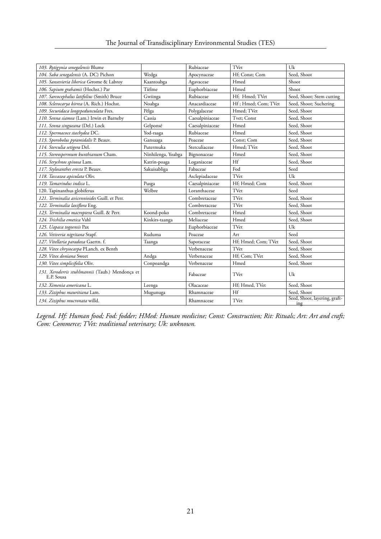|  |  |  | The Journal of Transdisciplinary Environmental Studies (TES) |  |
|--|--|--|--------------------------------------------------------------|--|
|  |  |  |                                                              |  |

| 103. Rytigynia senegalensis Blume                                                         |                    | Rubiaceae       | TVer                | Uk                                                  |
|-------------------------------------------------------------------------------------------|--------------------|-----------------|---------------------|-----------------------------------------------------|
| 104. Saba senegalensis (A. DC) Pichon                                                     | Wedga              | Apocynaceae     | Hf; Const; Com      | Seed, Shoot                                         |
| 105. Sansevieria liberica Gerome & Labrov                                                 | Kaantoabga         | Agavaceae       | Hmed                | Shoot                                               |
| 106. Sapium grahamii (Hochst.) Par                                                        | Tièlme             | Euphorbiaceae   | Hmed                | Shoot                                               |
|                                                                                           | Gwiinga            | Rubiaceae       | Hf; Hmed; TVet      |                                                     |
| 107. Sarcocephalus latifolius (Smith) Bruce<br>108. Sclerocarya birrea (A. Rich.) Hochst. |                    | Anacardiaceae   | Hf; Hmed; Com; TVet | Seed, Shoot; Stem cutting<br>Seed, Shoot; Suchering |
|                                                                                           | Noabga             |                 |                     |                                                     |
| 109. Securidaca longepedunculata Fres.                                                    | Pèlga              | Polygalaceae    | Hmed; TVet          | Seed, Shoot                                         |
| 110. Senna siamea (Lam.) Irwin et Barneby                                                 | Cassia             | Caesalpiniaceae | Tvet; Const         | Seed, Shoot                                         |
| 111. Senna singueana (Del.) Lock                                                          | Gelponsé           | Caesalpiniaceae | Hmed                | Seed, Shoot                                         |
| 112. Spermacoce stachydea DC.                                                             | Yod-raaga          | Rubiaceae       | Hmed                | Seed, Shoot                                         |
| 113. Sporobolus pyramidalis P. Beauv.                                                     | Gansaaga           | Poaceae         | Const: Com          | Seed, Shoot                                         |
| 114. Sterculia setigera Del.                                                              | Putermuka          | Sterculiaceae   | Hmed; TVet          | Seed, Shoot                                         |
| 115. Stereospermum kunthianum Cham.                                                       | Ninhilenga, Yoabga | Bignonaceae     | Hmed                | Seed, Shoot                                         |
| 116. Strychnos spinosa Lam.                                                               | Katrin-poaga       | Loganiaceae     | Hf                  | Seed, Shoot                                         |
| 117. Stylosanthes erecta P. Beauv.                                                        | Sakuisabliga       | Fabaceae        | Fod                 | Seed                                                |
| 118. Taccazea apiculata Oliv.                                                             |                    | Asclepiadaceae  | TVet                | Uk                                                  |
| 119. Tamarindus indica L.                                                                 | Pusga              | Caesalpiniaceae | Hf; Hmed; Com       | Seed, Shoot                                         |
| 120. Tapinanthus globiferus                                                               | Welbre             | Loranthaceae    | TVet                | Seed                                                |
| 121. Terminalia avicennioides Guill. et Perr.                                             |                    | Combretaceae    | TVet                | Seed, Shoot                                         |
| 122. Terminalia laxiflora Eng.                                                            |                    | Combretaceae    | TVet                | Seed, Shoot                                         |
| 123. Terminalia macroptera Guill. & Perr.                                                 | Koond-poko         | Combretaceae    | Hmed                | Seed, Shoot                                         |
| 124. Trichilia emetica Vahl                                                               | Kinkirs-taanga     | Meliaceae       | Hmed                | Seed, Shoot                                         |
| 125. Uapaca togoensis Pax                                                                 |                    | Euphorbiaceae   | TVet                | Uk                                                  |
| 126. Vetiveria nigritana Stapf.                                                           | Ruduma             | Poaceae         | Art                 | Seed                                                |
| 127. Vitellaria paradoxa Gaertn. f.                                                       | Taanga             | Sapotaceae      | Hf; Hmed; Com; TVet | Seed, Shoot                                         |
| 128. Vitex chrysocarpa PLanch. ex Benth                                                   |                    | Verbenaceae     | TVer                | Seed, Shoot                                         |
| 129. Vitex doniana Sweet                                                                  | Andga              | Verbenaceae     | Hf; Com; TVet       | Seed, Shoot                                         |
| 130. Vitex simplicifolia Oliv.                                                            | Conpoandga         | Verbenaceae     | Hmed                | Seed, Shoot                                         |
| 131. Xeroderris stuhlmannii (Taub.) Mendonça et<br>E.P. Sousa                             |                    | Fabaceae        | TVet                | Uk                                                  |
| 132. Ximenia americana L.                                                                 | Leenga             | Olacaceae       | Hf; Hmed, TVet      | Seed, Shoot                                         |
| 133. Ziziphus mauritiana Lam.                                                             | Mugunuga           | Rhamnaceae      | Hf                  | Seed, Shoot                                         |
| 134. Ziziphus mucronata willd.                                                            |                    | Rhamnaceae      | TVet                | Seed, Shoot, layering, graft-<br>ing                |

*Legend. Hf: Human food; Fod: fodder; HMed: Human medicine; Const: Construction; Rit: Rituals; Art: Art and craft; Com: Commerce; TVet: traditional veterinary; Uk: unknown.*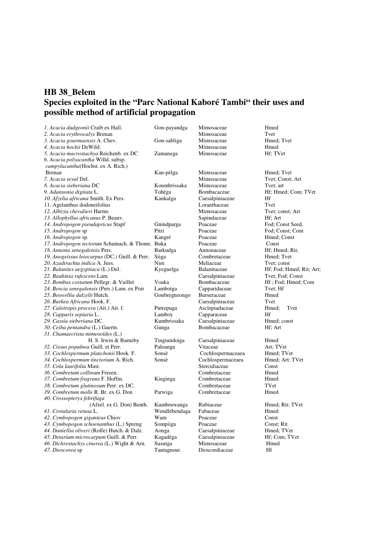# **HB 38\_Belem Species exploited in the "Parc National Kaboré Tambi" their uses and possible method of artificial propagation**

| 1. Acacia dudgeonii Craib ex Hall.                  | Gon-payandga  | Mimosaceae         | Hmed                     |
|-----------------------------------------------------|---------------|--------------------|--------------------------|
| 2. Acacia erythrocalyx Brenan                       |               | Mimosaceae         | Tvet                     |
| 3. Acacia gourmaensis A. Chev.                      | Gon-sabliga   | Mimosaceae         | Hmed; Tvet               |
| <i>4. Acacia hockii</i> DeWild.                     |               | Mimosaceae         | Hmed                     |
| 5. Acacia macrostachya Reichenb. ex DC              | Zamanega      | Mimosaceae         | Hf: TVet                 |
| 6. Acacia polyacantha Willd. subsp.                 |               |                    |                          |
| campylacantha(Hochst. ex A. Rich.)                  |               |                    |                          |
| <b>Brenan</b>                                       | Kan-pèlga     | Mimosaceae         | Hmed: Tvet               |
| 7. Acacia seyal Del.                                |               | Mimosaceae         | Tvet: Const: Art         |
| 8. Acacia sieberiana DC                             | Koumbrissaka  | Mimosaceae         | Tvet: art                |
| 9. Adansonia digitata L.                            | Tohèga        | Bombacaceae        | Hf; Hmed; Com; TVet      |
| 10. Afzelia africana Smith. Ex Pers.                | Kankalga      | Caesalpiniaceae    | Hf                       |
| 11. Agelanthus dodoneifolius                        |               | Loranthaceae       | Tvet                     |
| 12. Albizia chevalieri Harms                        |               | Mimosaceae         | Tvet; const; Art         |
| 13. Allophyllus africanus P. Beauv.                 |               | Sapindaceae        | Hf; Art                  |
| 14. Andropogon pseudapricus Stapf                   | Gnindparga    | Poaceae            | Fod: Const Seed,         |
| 15. Andropogon sp                                   | Pitri         | Poaceae            | Fod: Const: Com          |
| 16. Andropogon sp.                                  | Kangré        | Poaceae            | Hmed; Const              |
| 17. Andropogon tectorum Schumach. & Thonn. Buka     |               | Poaceae            | Const                    |
| 18. Annona senegalensis Pers.                       | Barkudga      | Annonaceae         | Hf; Hmed; Rit,           |
| 19. Anogeissus leiocarpus (DC.) Guill. & Perr.      | Siiga         | Combretaceae       | Hmed; Tvet               |
| 20. Azadirachta indica A. Juss.                     | Nim           | Meliaceae          | Tvet: const              |
| 21. Balanites aegyptiaca (L.) Del.                  | Kyeguelga     | Balanitaceae       | Hf; Fod; Hmed; Rit; Art; |
| 22. Bauhinia rufescens Lam.                         |               | Caesalpiniaceae    | Tvet: Fod: Const         |
| 23. Bombax costatum Pellegr. & Vuillet              | Voaka         | Bombacaceae        | Hf; Fod; Hmed; Com       |
| 24. Boscia senegalensis (Pers.) Lam. ex Poir        | Lambotga      | Capparidaceae      | Tvet: Hf                 |
| 25. Boswellia dalzelii Hutch.                       | Gonbregneongo | <b>Burseraceae</b> | Hmed                     |
| 26. Burkea Africana Hook. F.                        |               | Caesalpiniaceae    | Tvet                     |
| 27. Calotropis procera (Ait.) Ait. f.               | Putrepuga     | Asclepiadaceae     | Tvet<br>Hmed;            |
| 28. Capparis sepiaria L.                            | Lamboy        | Capparaceae        | Hf                       |
| 29. Cassia sieberiana DC.                           | Kumbrissaka   | Caesalpiniaceae    | Hmed; const              |
| 30. Ceiba pentandra (L.) Gaertn.                    | Gunga         | Bombacaceae        | Hf; Art                  |
| 31. Chamaecrista mimosoïdes (L.)                    |               |                    |                          |
| H. S. Irwin & Barneby                               | Tingiundoiga  | Caesalpiniaceae    | Hmed                     |
| 32. Cissus populnea Guill. et Perr.                 | Paloanga      | Vitaceae           | Art; TVet                |
| 33. Cochlospermum planchonii Hook. F.               | Sonsè         | Cochlospermaceaea  | Hmed; TVet               |
| 34. Cochlospermum tinctorium A. Rich.               | Sonsè         | Cochlospermaceaea  | Hmed; Art; TVet          |
| 35. Cola laurifolia Mast.                           |               | Sterculiaceae      | Const                    |
| 36. Combretum collinum Fresen.                      |               | Combretaceae       | Hmed                     |
| 37. Combretum fragrans F. Hoffm.                    | Kiuginga      | Combretaceae       | Hmed                     |
| 38. Combretum glutinosum Perr. ex DC.               |               | Combretaceae       | TVet                     |
| 39. Combretum molle R. Br. ex G. Don                | Parwiga       | Combretaceae       | Hmed                     |
| 40. Crossopteryx febrifuga                          |               |                    |                          |
| (Afzel. ex G. Don) Benth.                           | Kumbruwanga   | Rubiaceae          | Hmed; Rit; TVet          |
| 41. Crotalaria retusa L.                            | Wendlébendaga | Fabaceae           | Hmed                     |
| 42. Cymbopogon giganteus Chiov                      | Wam           | Poaceae            | Const                    |
| 43. Cymbopogon schoenanthus (L.) Spreng             | Sompiiga      | Poaceae            | Const; Rit               |
| 44. <i>Daniellia oliveri</i> (Rolfe) Hutch. & Dalz. | Aonga         | Caesalpiniaceae    | Hmed; TVet               |
| 45. Detarium microcarpum Guill. & Perr.             | Kagadéga      | Caesalpiniaceae    | Hf; Com; TVet            |
| 46. Dichrostachys cinerea (L.) Wight & Arn.         | Susutga       | Mimosaceae         | Hmed                     |
| 47. Dioscorea sp                                    | Tantagnoui    | Dioscordiaceae     | Hf                       |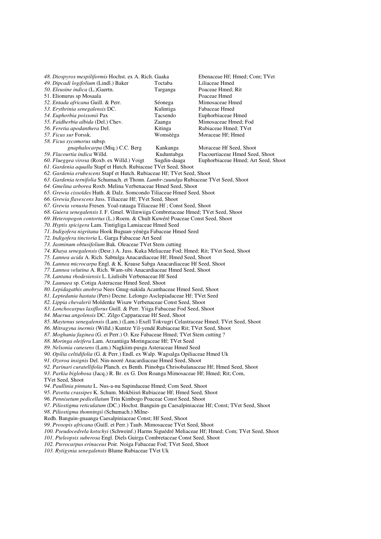*48. Diospyros mespiliformis* Hochst. ex A. Rich. Gaaka Ebenaceae Hf; Hmed; Com; TVet 49. Dipcadi logifolium (Lindl.) Baker *50. Eleusine indica* (L.)Gaertn. Targanga Poaceae Hmed; Rit 51. Elionurus sp Mosaala *52. Entada africana* Guill. & Perr. Séonega Mimosaceae Hmed *53. Erythrinia senegalensis* DC. Kulintiga Fabaceae Hmed *54. Euphorbia poissonii* Pax Tacsendo Euphorbiaceae Hmed 55. Faidherbia albida (Del.) Chev. *56. Feretia apodanthera* Del. Kitinga Rubiaceae Hmed; TVet 57. Ficus sur Forssk. *58. Ficus sycomorus* subsp*. gnaphalocarpa* (Miq.) C.C. Berg Kankanga Moraceae Hf Seed, Shoot<br>59. Flacourtia indica Willd. Kuduntabga Flacourtiaceae Hmed See **59. Flacourtiaceae Hmed Seed, Shoot**<br>**59. Sugdin-daaga** Euphorbiaceae Hmed: Art Seed, Shoot *60. Flueggea virosa* (Roxb. ex Willd.) Voigt *61. Gardenia aqualla* Stapf et Hutch. Rubiaceae TVet Seed, Shoot *62. Gardenia erubescens* Stapf et Hutch. Rubiaceae Hf; TVet Seed, Shoot *63. Gardenia ternifolia* Schumach. et Thonn. *Lambr-zuundga* Rubiaceae TVet Seed, Shoot *64. Gmelina arborea* Roxb. Melina Verbenaceae Hmed Seed, Shoot *65. Grewia cissoïdes* Huth. & Dalz. Somcondo Tiliaceae Hmed Seed, Shoot *66. Grewia flavescens* Juss. Tiliaceae Hf; TVet Seed, Shoot *67. Grewia venusta* Fresen. Yoal-rataaga Tiliaceae Hf ; Const Seed, Shoot *68. Guiera senegalensis* J. F. Gmel. Wilinwiiga Combretaceae Hmed; TVet Seed, Shoot *69. Heteropogon contortus* (L.) Roem. & Chult Kuwéré Poaceae Const Seed, Shoot *70. Hyptis spicigera* Lam. Tintigliga Lamiaceae Hmed Seed *71. Indigofera nigritana* Hook Buguan-yénèga Fabaceae Hmed Seed *72. Indigofera tinctoria* L. Garga Fabaceae Art Seed *73. Jasminum obtusifolium* Bak. Oleaceae TVet Stem cutting *74. Khaya senegalensis* (Desr.) A. Juss. Kuka Meliaceae Fod; Hmed; Rit; TVet Seed, Shoot *75. Lannea acida* A. Rich. Sabtulga Anacardiaceae Hf; Hmed Seed, Shoot *76. Lannea microcarpa* Engl. & K. Krause Sabga Anacardiaceae Hf Seed, Shoot *77. Lannea velutina* A. Rich. Wam-sibi Anacardiaceae Hmed Seed, Shoot *78. Lantana rhodesiensis* L. Liulisibi Verbenaceae Hf Seed *79. Launaea* sp. Cotiga Asteraceae Hmed Seed, Shoot *80. Lepidagathis anobrya* Nees Gnug-nakida Acanthaceae Hmed Seed, Shoot *81. Leptedania hastata* (Pers) Decne. Lelongo Asclepiadaceae Hf; TVet Seed *82. Lippia chevalerii* Moldenke Wisaw Verbenaceae Const Seed, Shoot *83. Lonchocarpus laxiflorus* Guill. & Perr. Yiiga Fabaceae Fod Seed, Shoot *84. Maerua angolensis* DC. Zilgo Capparaceae Hf Seed, Shoot *85. Maytenus senegalensis* (Lam.) (Lam.) Exell Tokvugri Celastraceae Hmed; TVet Seed, Shoot *86. Mitragyna inermis* (Willd.) Kuntze Yil-yendé Rubiaceae Rit; TVet Seed, Shoot *87. Moghania faginea* (G. et Perr.) O. Kze Fabaceae Hmed; TVet Stem cutting ? *88. Moringa oleifera* Lam. Arzantiiga Moringaceae Hf; TVet Seed *89. Nelsonia canesens* (Lam.) Nagkiim-pusga Asteraceae Hmed Seed *90. Opilia celtidifolia* (G. & Perr.) Endl. ex Walp. Wagsalga Opiliaceae Hmed Uk *91. Ozoroa insignis* Del. Nin-nooré Anacardiaceae Hmed Seed, Shoot *92. Parinari curatellifolia* Planch. ex Benth. Piinobga Chrisobalanaceae Hf; Hmed Seed, Shoot *93. Parkia biglobosa* (Jacq.) R. Br. ex G. Don Roanga Mimosaceae Hf; Hmed; Rit; Com, TVet Seed, Shoot *94. Paullinia pinnata* L. Nus-a-nu Sapindaceae Hmed; Com Seed, Shoot *95. Pavetta crassipes* K. Schum. Mokbiisri Rubiaceae Hf; Hmed Seed, Shoot *96. Pennisetum pedicellatum* Trin Kimbogo Poaceae Const Seed, Shoot *97. Piliostigma reticulatum* (DC.) Hochst. Banguin-gu Caesalpiniaceae Hf; Const; TVet Seed, Shoot *98. Piliostigma thonningii* (Schumach.) Milne-Redh. Banguin-gnaanga Caesalpiniaceae Const; Hf Seed, Shoot *99. Prosopis africana* (Guill. et Perr.) Taub. Mimosaceae TVet Seed, Shoot *100. Pseudocedrela kotschyi* (Schweinf.) Harms Siguédré Meliaceae Hf; Hmed; Com; TVet Seed, Shoot *101. Pteleopsis suberosa* Engl. Diels Guirga Combretaceae Const Seed, Shoot *102. Pterocarpus erinaceus* Poir. Noiga Fabaceae Fod; TVet Seed, Shoot *103. Rytigynia senegalensis* Blume Rubiaceae TVet Uk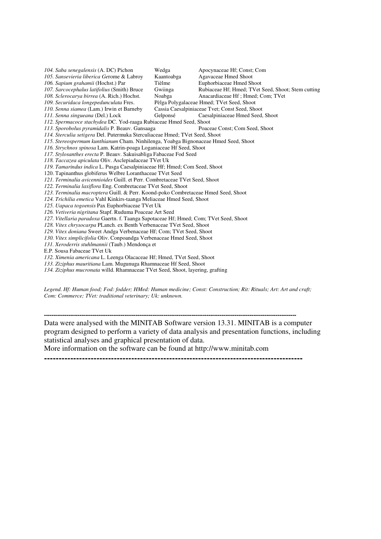*104. Saba senegalensis* (A. DC) Pichon Wedga Apocynaceae Hf; Const; Com *105. Sansevieria liberica Ge*rome & Labroy Kaantoabga Agavaceae Hmed Shoot *106. Sapium grahamii* (Hochst.) Par *107. Sarcocephalus latifolius* (Smith) Bruce Gwiinga Rubiaceae Hf; Hmed; TVet Seed, Shoot; Stem cutting *108. Sclerocarya birrea* (A. Rich.) Hochst.<br>109. Securidaca longepedunculata Fres. *109. Securidaca longepedunculata* Fres. Pèlga Polygalaceae Hmed; TVet Seed, Shoot **110. Cassia Caesalpiniaceae Tvet; Const Seed, Shoot**<br>**6** Gelponsé **Caesalpiniaceae Hmed Seed, Shoot** *111. Senna singueana* (Del.) Lock *112. Spermacoce stachydea* DC. Yod-raaga Rubiaceae Hmed Seed, Shoot *113. Sporobolus pyramidalis* P. Beauv. Gansaaga *114. Sterculia setigera* Del. Putermuka Sterculiaceae Hmed; TVet Seed, Shoot *115. Stereospermum kunthianum* Cham. Ninhilenga, Yoabga Bignonaceae Hmed Seed, Shoot *116. Strychnos spinosa* Lam. Katrin-poaga Loganiaceae Hf Seed, Shoot *117. Stylosanthes erecta* P. Beauv. Sakuisabliga Fabaceae Fod Seed *118. Taccazea apiculata* Oliv. Asclepiadaceae TVet Uk *119. Tamarindus indica* L. Pusga Caesalpiniaceae Hf; Hmed; Com Seed, Shoot 120. Tapinanthus globiferus Welbre Loranthaceae TVet Seed *121. Terminalia avicennioides* Guill. et Perr. Combretaceae TVet Seed, Shoot *122. Terminalia laxiflora* Eng. Combretaceae TVet Seed, Shoot *123. Terminalia macroptera* Guill. & Perr. Koond-poko Combretaceae Hmed Seed, Shoot *124. Trichilia emetica* Vahl Kinkirs-taanga Meliaceae Hmed Seed, Shoot *125. Uapaca togoensis* Pax Euphorbiaceae TVet Uk *126. Vetiveria nigritana* Stapf. Ruduma Poaceae Art Seed *127. Vitellaria paradoxa* Gaertn. f. Taanga Sapotaceae Hf; Hmed; Com; TVet Seed, Shoot *128. Vitex chrysocarpa* PLanch. ex Benth Verbenaceae TVet Seed, Shoot *129. Vitex doniana* Sweet Andga Verbenaceae Hf; Com; TVet Seed, Shoot *130. Vitex simplicifolia* Oliv. Conpoandga Verbenaceae Hmed Seed, Shoot *131. Xeroderris stuhlmannii* (Taub.) Mendonça et E.P. Sousa Fabaceae TVet Uk *132. Ximenia americana* L. Leenga Olacaceae Hf; Hmed, TVet Seed, Shoot *133. Ziziphus mauritiana* Lam. Mugunuga Rhamnaceae Hf Seed, Shoot *134. Ziziphus mucronata* willd. Rhamnaceae TVet Seed, Shoot, layering, grafting

*Legend. Hf: Human food; Fod: fodder; HMed: Human medicine; Const: Construction; Rit: Rituals; Art: Art and craft; Com: Commerce; TVet: traditional veterinary; Uk: unknown.*

**---------------------------------------------------------------------------------------------------------------------------------------**  Data were analysed with the MINITAB Software version 13.31. MINITAB is a computer program designed to perform a variety of data analysis and presentation functions, including statistical analyses and graphical presentation of data.

More information on the software can be found at http://www.minitab.com

**-----------------------------------------------------------------------------------------**